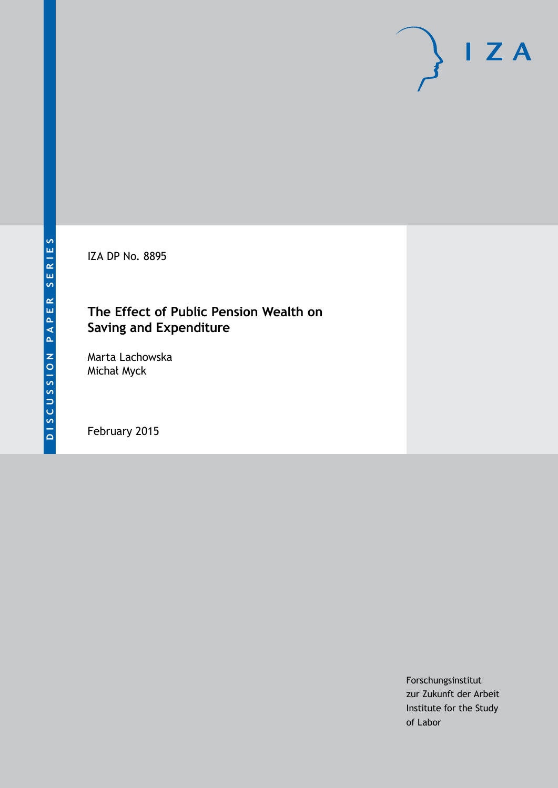IZA DP No. 8895

# **The Effect of Public Pension Wealth on Saving and Expenditure**

Marta Lachowska Michał Myck

February 2015

Forschungsinstitut zur Zukunft der Arbeit Institute for the Study of Labor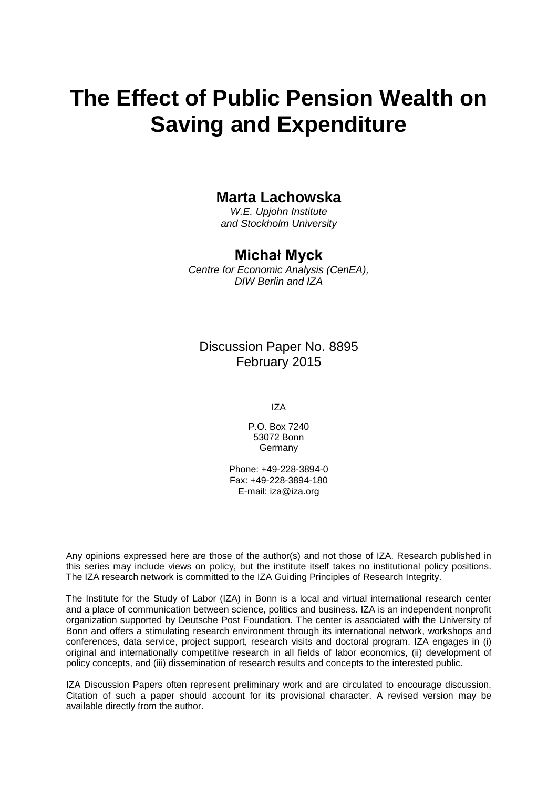# **The Effect of Public Pension Wealth on Saving and Expenditure**

# **Marta Lachowska**

*W.E. Upjohn Institute and Stockholm University*

# **Michał Myck**

*Centre for Economic Analysis (CenEA), DIW Berlin and IZA*

Discussion Paper No. 8895 February 2015

IZA

P.O. Box 7240 53072 Bonn **Germany** 

Phone: +49-228-3894-0 Fax: +49-228-3894-180 E-mail: [iza@iza.org](mailto:iza@iza.org)

Any opinions expressed here are those of the author(s) and not those of IZA. Research published in this series may include views on policy, but the institute itself takes no institutional policy positions. The IZA research network is committed to the IZA Guiding Principles of Research Integrity.

<span id="page-1-0"></span>The Institute for the Study of Labor (IZA) in Bonn is a local and virtual international research center and a place of communication between science, politics and business. IZA is an independent nonprofit organization supported by Deutsche Post Foundation. The center is associated with the University of Bonn and offers a stimulating research environment through its international network, workshops and conferences, data service, project support, research visits and doctoral program. IZA engages in (i) original and internationally competitive research in all fields of labor economics, (ii) development of policy concepts, and (iii) dissemination of research results and concepts to the interested public.

IZA Discussion Papers often represent preliminary work and are circulated to encourage discussion. Citation of such a paper should account for its provisional character. A revised version may be available directly from the author.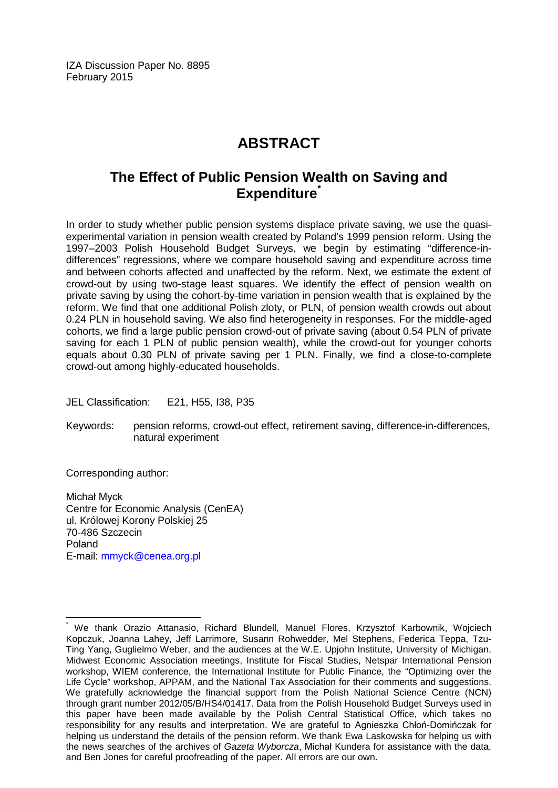IZA Discussion Paper No. 8895 February 2015

# **ABSTRACT**

# **The Effect of Public Pension Wealth on Saving and Expenditure[\\*](#page-1-0)**

In order to study whether public pension systems displace private saving, we use the quasiexperimental variation in pension wealth created by Poland's 1999 pension reform. Using the 1997–2003 Polish Household Budget Surveys, we begin by estimating "difference-indifferences" regressions, where we compare household saving and expenditure across time and between cohorts affected and unaffected by the reform. Next, we estimate the extent of crowd-out by using two-stage least squares. We identify the effect of pension wealth on private saving by using the cohort-by-time variation in pension wealth that is explained by the reform. We find that one additional Polish zloty, or PLN, of pension wealth crowds out about 0.24 PLN in household saving. We also find heterogeneity in responses. For the middle-aged cohorts, we find a large public pension crowd-out of private saving (about 0.54 PLN of private saving for each 1 PLN of public pension wealth), while the crowd-out for younger cohorts equals about 0.30 PLN of private saving per 1 PLN. Finally, we find a close-to-complete crowd-out among highly-educated households.

JEL Classification: E21, H55, I38, P35

Keywords: pension reforms, crowd-out effect, retirement saving, difference-in-differences, natural experiment

Corresponding author:

Michał Myck Centre for Economic Analysis (CenEA) ul. Królowej Korony Polskiej 25 70-486 Szczecin Poland E-mail: [mmyck@cenea.org.pl](mailto:mmyck@cenea.org.pl)

We thank Orazio Attanasio, Richard Blundell, Manuel Flores, Krzysztof Karbownik, Wojciech Kopczuk, Joanna Lahey, Jeff Larrimore, Susann Rohwedder, Mel Stephens, Federica Teppa, Tzu-Ting Yang, Guglielmo Weber, and the audiences at the W.E. Upjohn Institute, University of Michigan, Midwest Economic Association meetings, Institute for Fiscal Studies, Netspar International Pension workshop, WIEM conference, the International Institute for Public Finance, the "Optimizing over the Life Cycle" workshop, APPAM, and the National Tax Association for their comments and suggestions. We gratefully acknowledge the financial support from the Polish National Science Centre (NCN) through grant number 2012/05/B/HS4/01417. Data from the Polish Household Budget Surveys used in this paper have been made available by the Polish Central Statistical Office, which takes no responsibility for any results and interpretation. We are grateful to Agnieszka Chłoń-Domińczak for helping us understand the details of the pension reform. We thank Ewa Laskowska for helping us with the news searches of the archives of *Gazeta Wyborcza*, Michał Kundera for assistance with the data, and Ben Jones for careful proofreading of the paper. All errors are our own.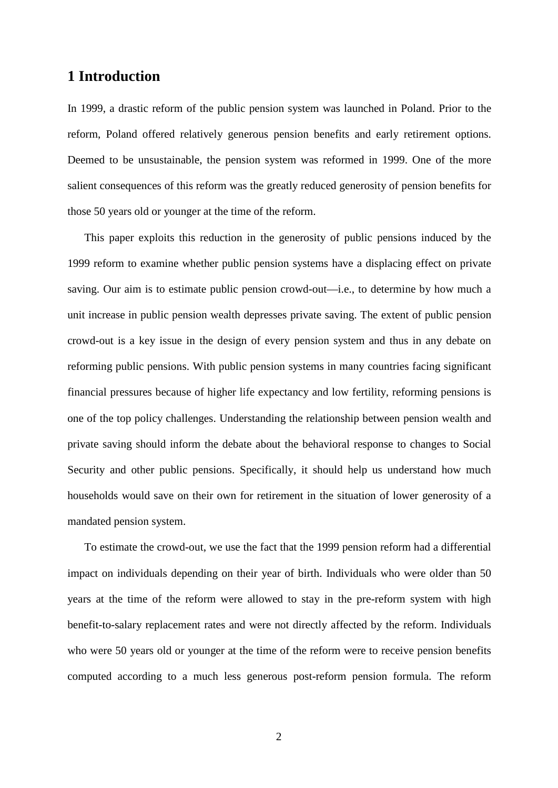# **1 Introduction**

In 1999, a drastic reform of the public pension system was launched in Poland. Prior to the reform, Poland offered relatively generous pension benefits and early retirement options. Deemed to be unsustainable, the pension system was reformed in 1999. One of the more salient consequences of this reform was the greatly reduced generosity of pension benefits for those 50 years old or younger at the time of the reform.

This paper exploits this reduction in the generosity of public pensions induced by the 1999 reform to examine whether public pension systems have a displacing effect on private saving. Our aim is to estimate public pension crowd-out—i.e., to determine by how much a unit increase in public pension wealth depresses private saving. The extent of public pension crowd-out is a key issue in the design of every pension system and thus in any debate on reforming public pensions. With public pension systems in many countries facing significant financial pressures because of higher life expectancy and low fertility, reforming pensions is one of the top policy challenges. Understanding the relationship between pension wealth and private saving should inform the debate about the behavioral response to changes to Social Security and other public pensions. Specifically, it should help us understand how much households would save on their own for retirement in the situation of lower generosity of a mandated pension system.

To estimate the crowd-out, we use the fact that the 1999 pension reform had a differential impact on individuals depending on their year of birth. Individuals who were older than 50 years at the time of the reform were allowed to stay in the pre-reform system with high benefit-to-salary replacement rates and were not directly affected by the reform. Individuals who were 50 years old or younger at the time of the reform were to receive pension benefits computed according to a much less generous post-reform pension formula. The reform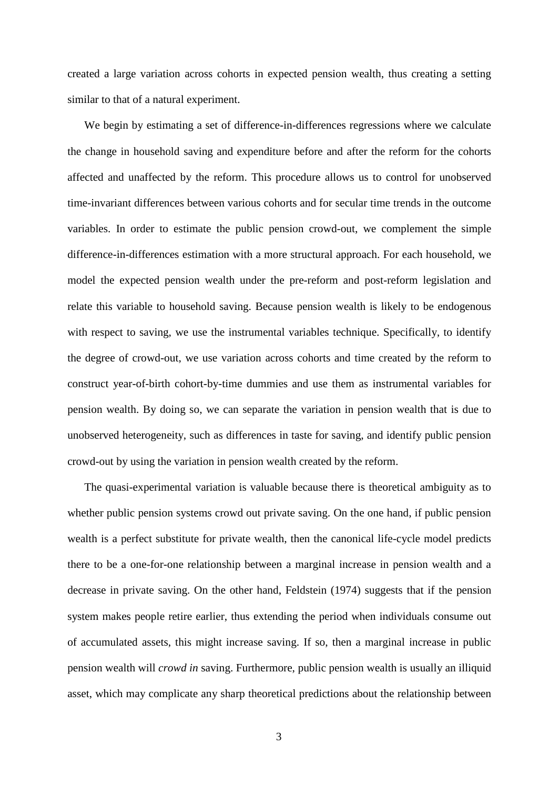created a large variation across cohorts in expected pension wealth, thus creating a setting similar to that of a natural experiment.

We begin by estimating a set of difference-in-differences regressions where we calculate the change in household saving and expenditure before and after the reform for the cohorts affected and unaffected by the reform. This procedure allows us to control for unobserved time-invariant differences between various cohorts and for secular time trends in the outcome variables. In order to estimate the public pension crowd-out, we complement the simple difference-in-differences estimation with a more structural approach. For each household, we model the expected pension wealth under the pre-reform and post-reform legislation and relate this variable to household saving. Because pension wealth is likely to be endogenous with respect to saving, we use the instrumental variables technique. Specifically, to identify the degree of crowd-out, we use variation across cohorts and time created by the reform to construct year-of-birth cohort-by-time dummies and use them as instrumental variables for pension wealth. By doing so, we can separate the variation in pension wealth that is due to unobserved heterogeneity, such as differences in taste for saving, and identify public pension crowd-out by using the variation in pension wealth created by the reform.

The quasi-experimental variation is valuable because there is theoretical ambiguity as to whether public pension systems crowd out private saving. On the one hand, if public pension wealth is a perfect substitute for private wealth, then the canonical life-cycle model predicts there to be a one-for-one relationship between a marginal increase in pension wealth and a decrease in private saving. On the other hand, Feldstein (1974) suggests that if the pension system makes people retire earlier, thus extending the period when individuals consume out of accumulated assets, this might increase saving. If so, then a marginal increase in public pension wealth will *crowd in* saving. Furthermore, public pension wealth is usually an illiquid asset, which may complicate any sharp theoretical predictions about the relationship between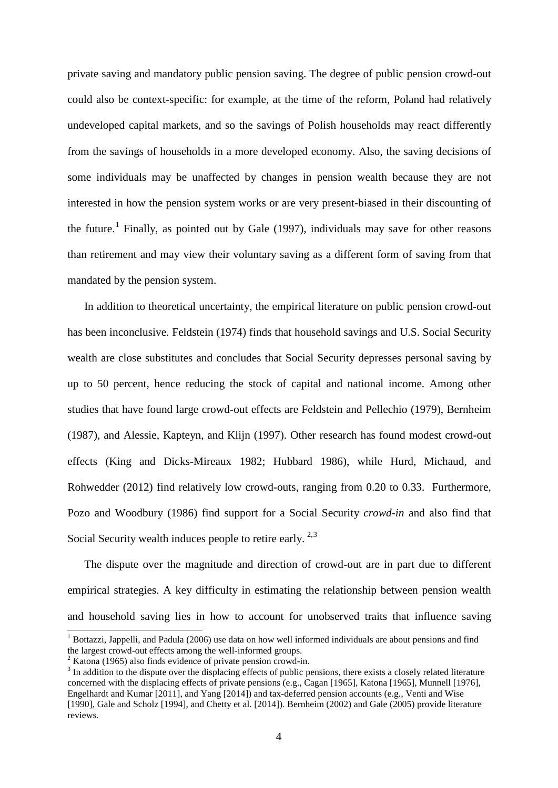private saving and mandatory public pension saving. The degree of public pension crowd-out could also be context-specific: for example, at the time of the reform, Poland had relatively undeveloped capital markets, and so the savings of Polish households may react differently from the savings of households in a more developed economy. Also, the saving decisions of some individuals may be unaffected by changes in pension wealth because they are not interested in how the pension system works or are very present-biased in their discounting of the future.<sup>[1](#page-30-0)</sup> Finally, as pointed out by Gale (1997), individuals may save for other reasons than retirement and may view their voluntary saving as a different form of saving from that mandated by the pension system.

In addition to theoretical uncertainty, the empirical literature on public pension crowd-out has been inconclusive. Feldstein (1974) finds that household savings and U.S. Social Security wealth are close substitutes and concludes that Social Security depresses personal saving by up to 50 percent, hence reducing the stock of capital and national income. Among other studies that have found large crowd-out effects are Feldstein and Pellechio (1979), Bernheim (1987), and Alessie, Kapteyn, and Klijn (1997). Other research has found modest crowd-out effects (King and Dicks-Mireaux 1982; Hubbard 1986), while Hurd, Michaud, and Rohwedder (2012) find relatively low crowd-outs, ranging from 0.20 to 0.33. Furthermore, Pozo and Woodbury (1986) find support for a Social Security *crowd-in* and also find that Social Security wealth induces people to retire early.  $2,3$  $2,3$ 

The dispute over the magnitude and direction of crowd-out are in part due to different empirical strategies. A key difficulty in estimating the relationship between pension wealth and household saving lies in how to account for unobserved traits that influence saving

<sup>&</sup>lt;sup>1</sup> Bottazzi, Jappelli, and Padula (2006) use data on how well informed individuals are about pensions and find the largest crowd-out effects among the well-informed groups.

<span id="page-5-2"></span><span id="page-5-1"></span><span id="page-5-0"></span>

 $\frac{2}{3}$  Katona (1965) also finds evidence of private pension crowd-in.<br> $\frac{3}{3}$  In addition to the dispute over the displacing effects of public pensions, there exists a closely related literature concerned with the displacing effects of private pensions (e.g., Cagan [1965], Katona [1965], Munnell [1976], Engelhardt and Kumar [2011], and Yang [2014]) and tax-deferred pension accounts (e.g., Venti and Wise [1990], Gale and Scholz [1994], and Chetty et al. [2014]). Bernheim (2002) and Gale (2005) provide literature reviews.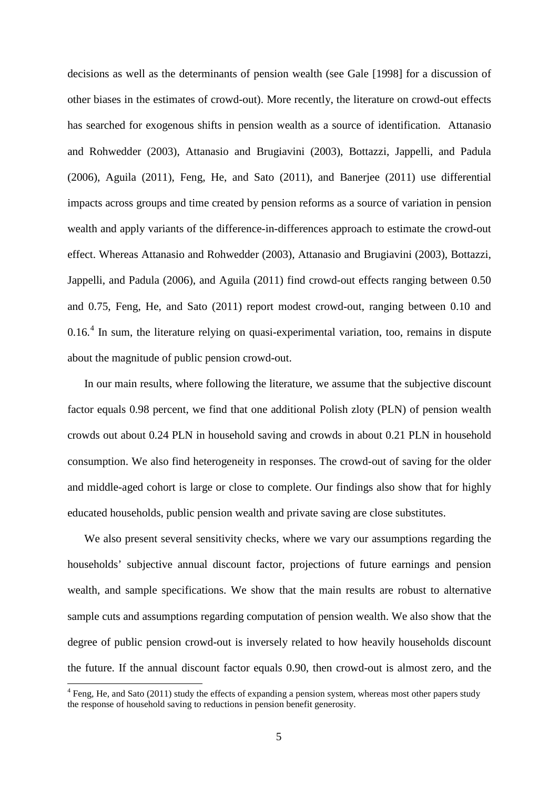decisions as well as the determinants of pension wealth (see Gale [1998] for a discussion of other biases in the estimates of crowd-out). More recently, the literature on crowd-out effects has searched for exogenous shifts in pension wealth as a source of identification. Attanasio and Rohwedder (2003), Attanasio and Brugiavini (2003), Bottazzi, Jappelli, and Padula (2006), Aguila (2011), Feng, He, and Sato (2011), and Banerjee (2011) use differential impacts across groups and time created by pension reforms as a source of variation in pension wealth and apply variants of the difference-in-differences approach to estimate the crowd-out effect. Whereas Attanasio and Rohwedder (2003), Attanasio and Brugiavini (2003), Bottazzi, Jappelli, and Padula (2006), and Aguila (2011) find crowd-out effects ranging between 0.50 and 0.75, Feng, He, and Sato (2011) report modest crowd-out, ranging between 0.10 and  $0.16<sup>4</sup>$  $0.16<sup>4</sup>$  $0.16<sup>4</sup>$  In sum, the literature relying on quasi-experimental variation, too, remains in dispute about the magnitude of public pension crowd-out.

In our main results, where following the literature, we assume that the subjective discount factor equals 0.98 percent, we find that one additional Polish zloty (PLN) of pension wealth crowds out about 0.24 PLN in household saving and crowds in about 0.21 PLN in household consumption. We also find heterogeneity in responses. The crowd-out of saving for the older and middle-aged cohort is large or close to complete. Our findings also show that for highly educated households, public pension wealth and private saving are close substitutes.

We also present several sensitivity checks, where we vary our assumptions regarding the households' subjective annual discount factor, projections of future earnings and pension wealth, and sample specifications. We show that the main results are robust to alternative sample cuts and assumptions regarding computation of pension wealth. We also show that the degree of public pension crowd-out is inversely related to how heavily households discount the future. If the annual discount factor equals 0.90, then crowd-out is almost zero, and the

<span id="page-6-0"></span><sup>&</sup>lt;sup>4</sup> Feng, He, and Sato (2011) study the effects of expanding a pension system, whereas most other papers study the response of household saving to reductions in pension benefit generosity.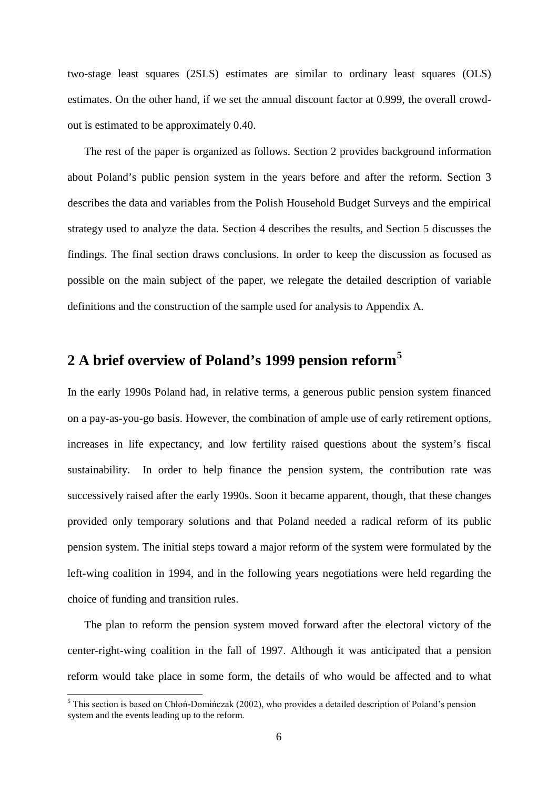two-stage least squares (2SLS) estimates are similar to ordinary least squares (OLS) estimates. On the other hand, if we set the annual discount factor at 0.999, the overall crowdout is estimated to be approximately 0.40.

The rest of the paper is organized as follows. Section 2 provides background information about Poland's public pension system in the years before and after the reform. Section 3 describes the data and variables from the Polish Household Budget Surveys and the empirical strategy used to analyze the data. Section 4 describes the results, and Section 5 discusses the findings. The final section draws conclusions. In order to keep the discussion as focused as possible on the main subject of the paper, we relegate the detailed description of variable definitions and the construction of the sample used for analysis to Appendix A.

# **2 A brief overview of Poland's 1999 pension reform[5](#page-6-0)**

In the early 1990s Poland had, in relative terms, a generous public pension system financed on a pay-as-you-go basis. However, the combination of ample use of early retirement options, increases in life expectancy, and low fertility raised questions about the system's fiscal sustainability. In order to help finance the pension system, the contribution rate was successively raised after the early 1990s. Soon it became apparent, though, that these changes provided only temporary solutions and that Poland needed a radical reform of its public pension system. The initial steps toward a major reform of the system were formulated by the left-wing coalition in 1994, and in the following years negotiations were held regarding the choice of funding and transition rules.

The plan to reform the pension system moved forward after the electoral victory of the center-right-wing coalition in the fall of 1997. Although it was anticipated that a pension reform would take place in some form, the details of who would be affected and to what

<span id="page-7-0"></span> <sup>5</sup> This section is based on Chłoń-Domińczak (2002), who provides a detailed description of Poland's pension system and the events leading up to the reform.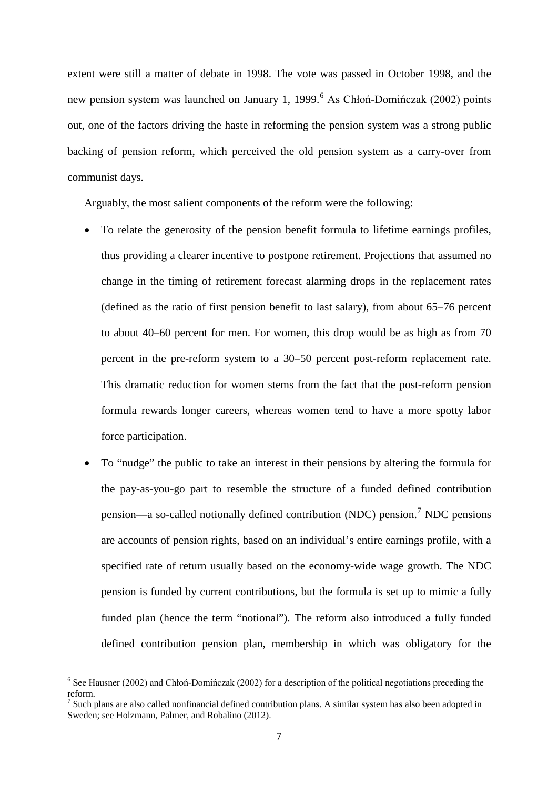extent were still a matter of debate in 1998. The vote was passed in October 1998, and the new pension system was launched on January 1, 1999.<sup>[6](#page-7-0)</sup> As Chłoń-Domińczak (2002) points out, one of the factors driving the haste in reforming the pension system was a strong public backing of pension reform, which perceived the old pension system as a carry-over from communist days.

Arguably, the most salient components of the reform were the following:

- To relate the generosity of the pension benefit formula to lifetime earnings profiles, thus providing a clearer incentive to postpone retirement. Projections that assumed no change in the timing of retirement forecast alarming drops in the replacement rates (defined as the ratio of first pension benefit to last salary), from about 65–76 percent to about 40–60 percent for men. For women, this drop would be as high as from 70 percent in the pre-reform system to a 30–50 percent post-reform replacement rate. This dramatic reduction for women stems from the fact that the post-reform pension formula rewards longer careers, whereas women tend to have a more spotty labor force participation.
- To "nudge" the public to take an interest in their pensions by altering the formula for the pay-as-you-go part to resemble the structure of a funded defined contribution pension—a so-called notionally defined contribution (NDC) pension.<sup>[7](#page-8-0)</sup> NDC pensions are accounts of pension rights, based on an individual's entire earnings profile, with a specified rate of return usually based on the economy-wide wage growth. The NDC pension is funded by current contributions, but the formula is set up to mimic a fully funded plan (hence the term "notional"). The reform also introduced a fully funded defined contribution pension plan, membership in which was obligatory for the

<span id="page-8-1"></span> <sup>6</sup> See Hausner (2002) and Chłoń-Domińczak (2002) for a description of the political negotiations preceding the reform.

<span id="page-8-0"></span><sup>&</sup>lt;sup>7</sup> Such plans are also called nonfinancial defined contribution plans. A similar system has also been adopted in Sweden; see Holzmann, Palmer, and Robalino (2012).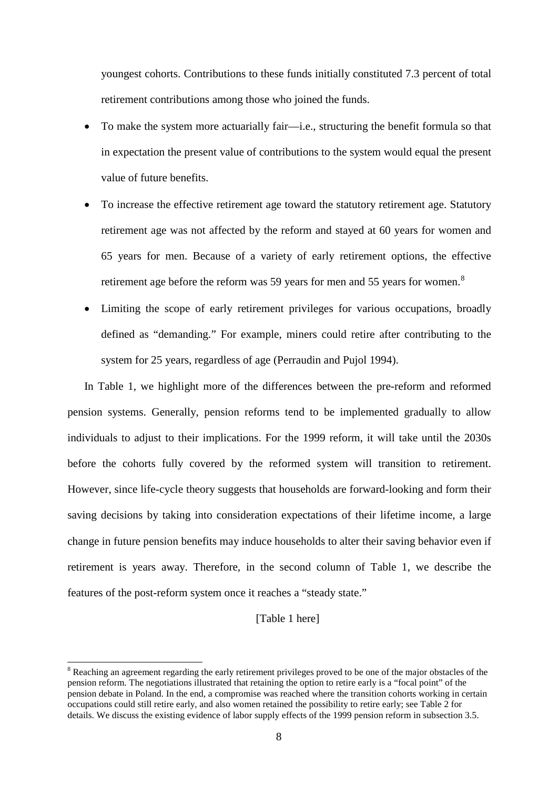youngest cohorts. Contributions to these funds initially constituted 7.3 percent of total retirement contributions among those who joined the funds.

- To make the system more actuarially fair—i.e., structuring the benefit formula so that in expectation the present value of contributions to the system would equal the present value of future benefits.
- To increase the effective retirement age toward the statutory retirement age. Statutory retirement age was not affected by the reform and stayed at 60 years for women and 65 years for men. Because of a variety of early retirement options, the effective retirement age before the reform was 59 years for men and 55 years for women.<sup>[8](#page-8-1)</sup>
- Limiting the scope of early retirement privileges for various occupations, broadly defined as "demanding." For example, miners could retire after contributing to the system for 25 years, regardless of age (Perraudin and Pujol 1994).

In Table 1, we highlight more of the differences between the pre-reform and reformed pension systems. Generally, pension reforms tend to be implemented gradually to allow individuals to adjust to their implications. For the 1999 reform, it will take until the 2030s before the cohorts fully covered by the reformed system will transition to retirement. However, since life-cycle theory suggests that households are forward-looking and form their saving decisions by taking into consideration expectations of their lifetime income, a large change in future pension benefits may induce households to alter their saving behavior even if retirement is years away. Therefore, in the second column of Table 1, we describe the features of the post-reform system once it reaches a "steady state."

#### [Table 1 here]

<span id="page-9-0"></span><sup>&</sup>lt;sup>8</sup> Reaching an agreement regarding the early retirement privileges proved to be one of the major obstacles of the pension reform. The negotiations illustrated that retaining the option to retire early is a "focal point" of the pension debate in Poland. In the end, a compromise was reached where the transition cohorts working in certain occupations could still retire early, and also women retained the possibility to retire early; see Table 2 for details. We discuss the existing evidence of labor supply effects of the 1999 pension reform in subsection 3.5.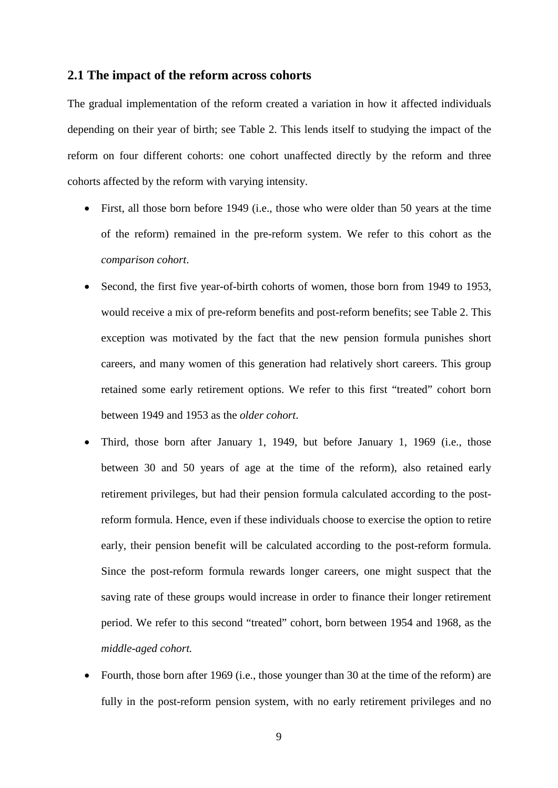#### **2.1 The impact of the reform across cohorts**

The gradual implementation of the reform created a variation in how it affected individuals depending on their year of birth; see Table 2. This lends itself to studying the impact of the reform on four different cohorts: one cohort unaffected directly by the reform and three cohorts affected by the reform with varying intensity.

- First, all those born before 1949 (i.e., those who were older than 50 years at the time of the reform) remained in the pre-reform system. We refer to this cohort as the *comparison cohort*.
- Second, the first five year-of-birth cohorts of women, those born from 1949 to 1953, would receive a mix of pre-reform benefits and post-reform benefits; see Table 2. This exception was motivated by the fact that the new pension formula punishes short careers, and many women of this generation had relatively short careers. This group retained some early retirement options. We refer to this first "treated" cohort born between 1949 and 1953 as the *older cohort*.
- Third, those born after January 1, 1949, but before January 1, 1969 (i.e., those between 30 and 50 years of age at the time of the reform), also retained early retirement privileges, but had their pension formula calculated according to the postreform formula. Hence, even if these individuals choose to exercise the option to retire early, their pension benefit will be calculated according to the post-reform formula. Since the post-reform formula rewards longer careers, one might suspect that the saving rate of these groups would increase in order to finance their longer retirement period. We refer to this second "treated" cohort, born between 1954 and 1968, as the *middle-aged cohort.*
- Fourth, those born after 1969 (i.e., those younger than 30 at the time of the reform) are fully in the post-reform pension system, with no early retirement privileges and no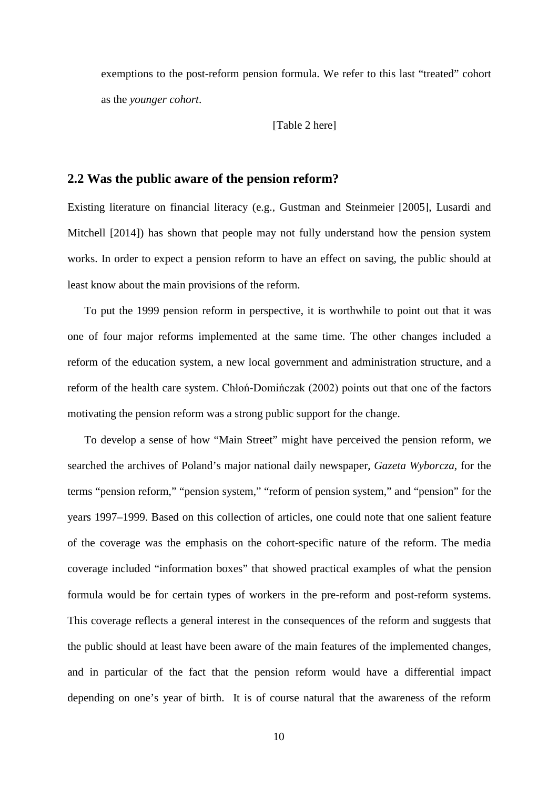exemptions to the post-reform pension formula. We refer to this last "treated" cohort as the *younger cohort*.

[Table 2 here]

#### **2.2 Was the public aware of the pension reform?**

Existing literature on financial literacy (e.g., Gustman and Steinmeier [2005], Lusardi and Mitchell [2014]) has shown that people may not fully understand how the pension system works. In order to expect a pension reform to have an effect on saving, the public should at least know about the main provisions of the reform.

To put the 1999 pension reform in perspective, it is worthwhile to point out that it was one of four major reforms implemented at the same time. The other changes included a reform of the education system, a new local government and administration structure, and a reform of the health care system. Chłoń-Domińczak (2002) points out that one of the factors motivating the pension reform was a strong public support for the change.

To develop a sense of how "Main Street" might have perceived the pension reform, we searched the archives of Poland's major national daily newspaper, *Gazeta Wyborcza*, for the terms "pension reform," "pension system," "reform of pension system," and "pension" for the years 1997–1999. Based on this collection of articles, one could note that one salient feature of the coverage was the emphasis on the cohort-specific nature of the reform. The media coverage included "information boxes" that showed practical examples of what the pension formula would be for certain types of workers in the pre-reform and post-reform systems. This coverage reflects a general interest in the consequences of the reform and suggests that the public should at least have been aware of the main features of the implemented changes, and in particular of the fact that the pension reform would have a differential impact depending on one's year of birth. It is of course natural that the awareness of the reform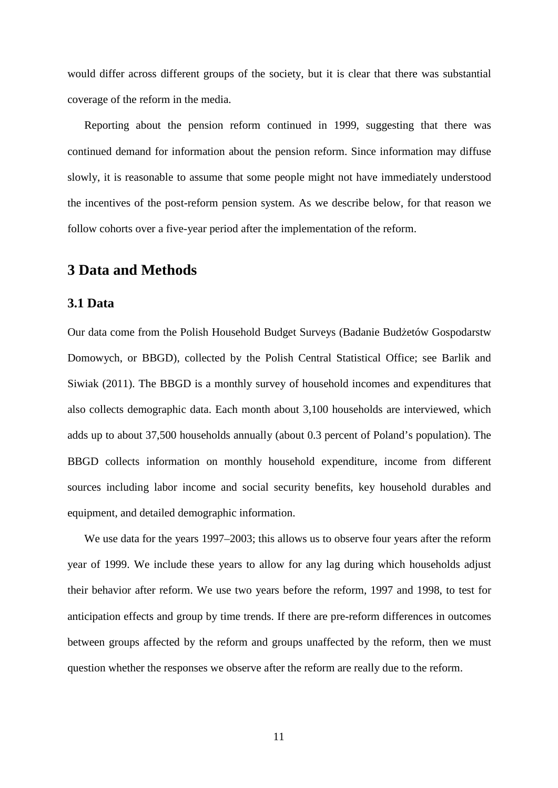would differ across different groups of the society, but it is clear that there was substantial coverage of the reform in the media.

Reporting about the pension reform continued in 1999, suggesting that there was continued demand for information about the pension reform. Since information may diffuse slowly, it is reasonable to assume that some people might not have immediately understood the incentives of the post-reform pension system. As we describe below, for that reason we follow cohorts over a five-year period after the implementation of the reform.

# **3 Data and Methods**

### **3.1 Data**

Our data come from the Polish Household Budget Surveys (Badanie Budżetów Gospodarstw Domowych, or BBGD), collected by the Polish Central Statistical Office; see Barlik and Siwiak (2011). The BBGD is a monthly survey of household incomes and expenditures that also collects demographic data. Each month about 3,100 households are interviewed, which adds up to about 37,500 households annually (about 0.3 percent of Poland's population). The BBGD collects information on monthly household expenditure, income from different sources including labor income and social security benefits, key household durables and equipment, and detailed demographic information.

We use data for the years 1997–2003; this allows us to observe four years after the reform year of 1999. We include these years to allow for any lag during which households adjust their behavior after reform. We use two years before the reform, 1997 and 1998, to test for anticipation effects and group by time trends. If there are pre-reform differences in outcomes between groups affected by the reform and groups unaffected by the reform, then we must question whether the responses we observe after the reform are really due to the reform.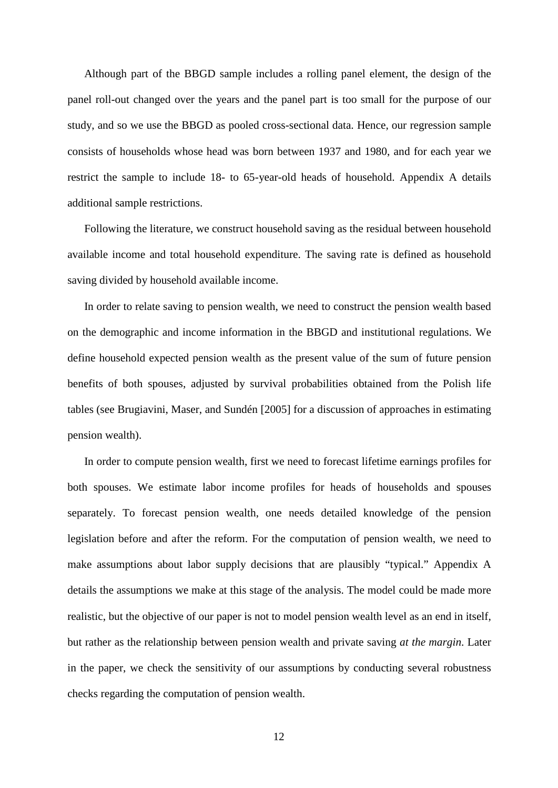Although part of the BBGD sample includes a rolling panel element, the design of the panel roll-out changed over the years and the panel part is too small for the purpose of our study, and so we use the BBGD as pooled cross-sectional data. Hence, our regression sample consists of households whose head was born between 1937 and 1980, and for each year we restrict the sample to include 18- to 65-year-old heads of household. Appendix A details additional sample restrictions.

Following the literature, we construct household saving as the residual between household available income and total household expenditure. The saving rate is defined as household saving divided by household available income.

In order to relate saving to pension wealth, we need to construct the pension wealth based on the demographic and income information in the BBGD and institutional regulations. We define household expected pension wealth as the present value of the sum of future pension benefits of both spouses, adjusted by survival probabilities obtained from the Polish life tables (see Brugiavini, Maser, and Sundén [2005] for a discussion of approaches in estimating pension wealth).

In order to compute pension wealth, first we need to forecast lifetime earnings profiles for both spouses. We estimate labor income profiles for heads of households and spouses separately. To forecast pension wealth, one needs detailed knowledge of the pension legislation before and after the reform. For the computation of pension wealth, we need to make assumptions about labor supply decisions that are plausibly "typical." Appendix A details the assumptions we make at this stage of the analysis. The model could be made more realistic, but the objective of our paper is not to model pension wealth level as an end in itself, but rather as the relationship between pension wealth and private saving *at the margin*. Later in the paper, we check the sensitivity of our assumptions by conducting several robustness checks regarding the computation of pension wealth.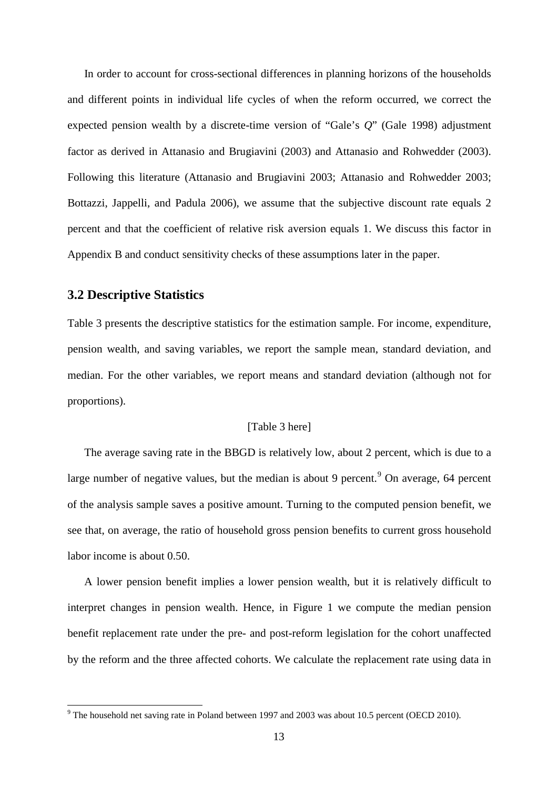In order to account for cross-sectional differences in planning horizons of the households and different points in individual life cycles of when the reform occurred, we correct the expected pension wealth by a discrete-time version of "Gale's *Q*" (Gale 1998) adjustment factor as derived in Attanasio and Brugiavini (2003) and Attanasio and Rohwedder (2003). Following this literature (Attanasio and Brugiavini 2003; Attanasio and Rohwedder 2003; Bottazzi, Jappelli, and Padula 2006), we assume that the subjective discount rate equals 2 percent and that the coefficient of relative risk aversion equals 1. We discuss this factor in Appendix B and conduct sensitivity checks of these assumptions later in the paper.

### **3.2 Descriptive Statistics**

Table 3 presents the descriptive statistics for the estimation sample. For income, expenditure, pension wealth, and saving variables, we report the sample mean, standard deviation, and median. For the other variables, we report means and standard deviation (although not for proportions).

#### [Table 3 here]

The average saving rate in the BBGD is relatively low, about 2 percent, which is due to a large number of negative values, but the median is about [9](#page-9-0) percent.<sup>9</sup> On average, 64 percent of the analysis sample saves a positive amount. Turning to the computed pension benefit, we see that, on average, the ratio of household gross pension benefits to current gross household labor income is about 0.50.

A lower pension benefit implies a lower pension wealth, but it is relatively difficult to interpret changes in pension wealth. Hence, in Figure 1 we compute the median pension benefit replacement rate under the pre- and post-reform legislation for the cohort unaffected by the reform and the three affected cohorts. We calculate the replacement rate using data in

<span id="page-14-0"></span> $9$  The household net saving rate in Poland between 1997 and 2003 was about 10.5 percent (OECD 2010).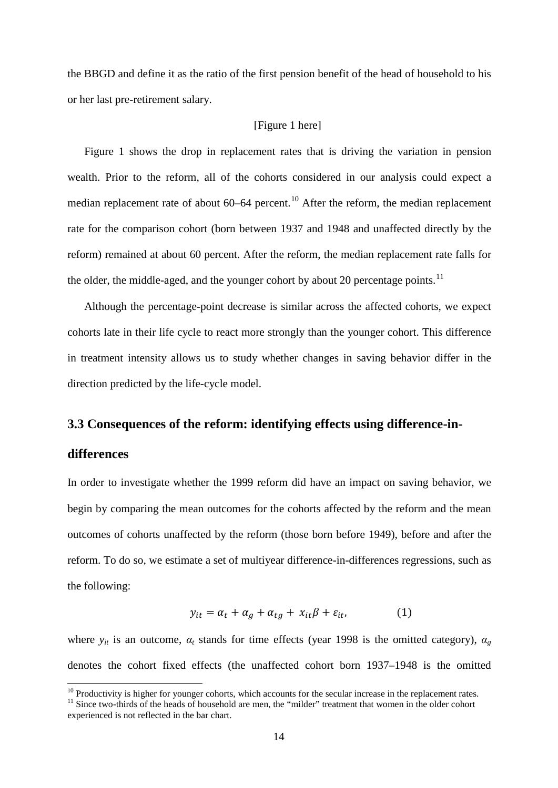the BBGD and define it as the ratio of the first pension benefit of the head of household to his or her last pre-retirement salary.

#### [Figure 1 here]

Figure 1 shows the drop in replacement rates that is driving the variation in pension wealth. Prior to the reform, all of the cohorts considered in our analysis could expect a median replacement rate of about  $60-64$  percent.<sup>[10](#page-14-0)</sup> After the reform, the median replacement rate for the comparison cohort (born between 1937 and 1948 and unaffected directly by the reform) remained at about 60 percent. After the reform, the median replacement rate falls for the older, the middle-aged, and the younger cohort by about 20 percentage points.<sup>[11](#page-15-0)</sup>

Although the percentage-point decrease is similar across the affected cohorts, we expect cohorts late in their life cycle to react more strongly than the younger cohort. This difference in treatment intensity allows us to study whether changes in saving behavior differ in the direction predicted by the life-cycle model.

#### **3.3 Consequences of the reform: identifying effects using difference-in-**

#### **differences**

In order to investigate whether the 1999 reform did have an impact on saving behavior, we begin by comparing the mean outcomes for the cohorts affected by the reform and the mean outcomes of cohorts unaffected by the reform (those born before 1949), before and after the reform. To do so, we estimate a set of multiyear difference-in-differences regressions, such as the following:

$$
y_{it} = \alpha_t + \alpha_g + \alpha_{tg} + x_{it}\beta + \varepsilon_{it}, \qquad (1)
$$

where  $y_{it}$  is an outcome,  $\alpha_t$  stands for time effects (year 1998 is the omitted category),  $\alpha_g$ denotes the cohort fixed effects (the unaffected cohort born 1937–1948 is the omitted

<span id="page-15-0"></span><sup>&</sup>lt;sup>10</sup> Productivity is higher for younger cohorts, which accounts for the secular increase in the replacement rates. <sup>11</sup> Since two-thirds of the heads of household are men, the "milder" treatment that women in the older co experienced is not reflected in the bar chart.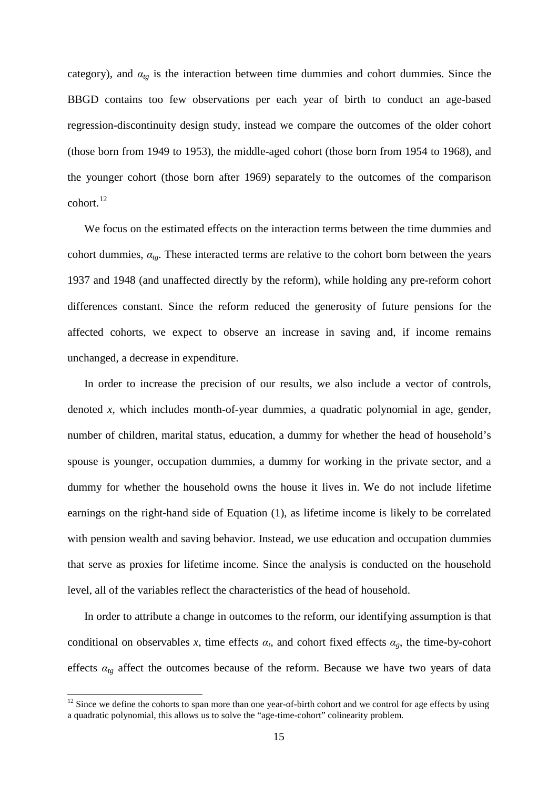category), and  $\alpha_{tg}$  is the interaction between time dummies and cohort dummies. Since the BBGD contains too few observations per each year of birth to conduct an age-based regression-discontinuity design study, instead we compare the outcomes of the older cohort (those born from 1949 to 1953), the middle-aged cohort (those born from 1954 to 1968), and the younger cohort (those born after 1969) separately to the outcomes of the comparison cohort.<sup>[12](#page-15-0)</sup>

We focus on the estimated effects on the interaction terms between the time dummies and cohort dummies,  $\alpha_{tg}$ . These interacted terms are relative to the cohort born between the years 1937 and 1948 (and unaffected directly by the reform), while holding any pre-reform cohort differences constant. Since the reform reduced the generosity of future pensions for the affected cohorts, we expect to observe an increase in saving and, if income remains unchanged, a decrease in expenditure.

In order to increase the precision of our results, we also include a vector of controls, denoted *x*, which includes month-of-year dummies, a quadratic polynomial in age, gender, number of children, marital status, education, a dummy for whether the head of household's spouse is younger, occupation dummies, a dummy for working in the private sector, and a dummy for whether the household owns the house it lives in. We do not include lifetime earnings on the right-hand side of Equation (1), as lifetime income is likely to be correlated with pension wealth and saving behavior. Instead, we use education and occupation dummies that serve as proxies for lifetime income. Since the analysis is conducted on the household level, all of the variables reflect the characteristics of the head of household.

In order to attribute a change in outcomes to the reform, our identifying assumption is that conditional on observables x, time effects  $\alpha_t$ , and cohort fixed effects  $\alpha_g$ , the time-by-cohort effects  $a_{tg}$  affect the outcomes because of the reform. Because we have two years of data

<span id="page-16-0"></span> $12$  Since we define the cohorts to span more than one year-of-birth cohort and we control for age effects by using a quadratic polynomial, this allows us to solve the "age-time-cohort" colinearity problem.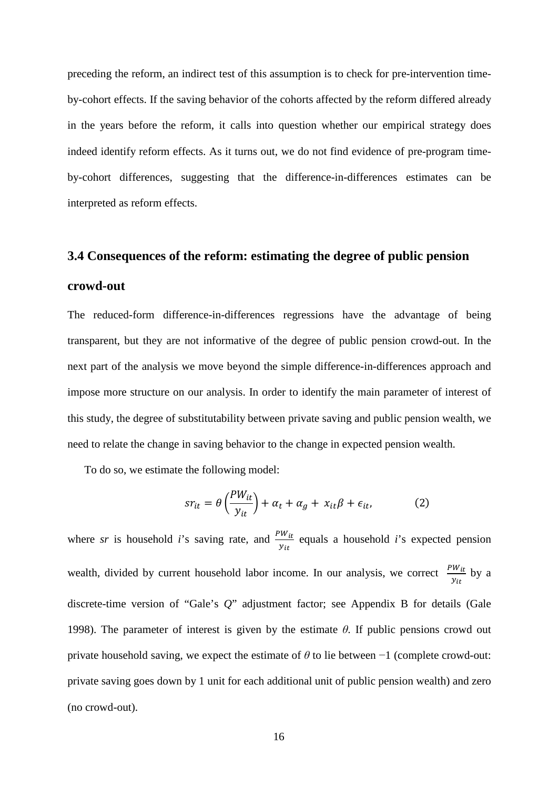preceding the reform, an indirect test of this assumption is to check for pre-intervention timeby-cohort effects. If the saving behavior of the cohorts affected by the reform differed already in the years before the reform, it calls into question whether our empirical strategy does indeed identify reform effects. As it turns out, we do not find evidence of pre-program timeby-cohort differences, suggesting that the difference-in-differences estimates can be interpreted as reform effects.

# **3.4 Consequences of the reform: estimating the degree of public pension**

#### **crowd-out**

The reduced-form difference-in-differences regressions have the advantage of being transparent, but they are not informative of the degree of public pension crowd-out. In the next part of the analysis we move beyond the simple difference-in-differences approach and impose more structure on our analysis. In order to identify the main parameter of interest of this study, the degree of substitutability between private saving and public pension wealth, we need to relate the change in saving behavior to the change in expected pension wealth.

To do so, we estimate the following model:

$$
sr_{it} = \theta \left(\frac{PW_{it}}{y_{it}}\right) + \alpha_t + \alpha_g + x_{it}\beta + \epsilon_{it},\tag{2}
$$

where *sr* is household *i*'s saving rate, and  $\frac{PW_{it}}{N}$  $y_{it}$ equals a household *i*'s expected pension wealth, divided by current household labor income. In our analysis, we correct  $\frac{PW_{tt}}{N}$  $y_{it}$ by a discrete-time version of "Gale's *Q*" adjustment factor; see Appendix B for details (Gale 1998). The parameter of interest is given by the estimate *θ*. If public pensions crowd out private household saving, we expect the estimate of *θ* to lie between −1 (complete crowd-out: private saving goes down by 1 unit for each additional unit of public pension wealth) and zero (no crowd-out).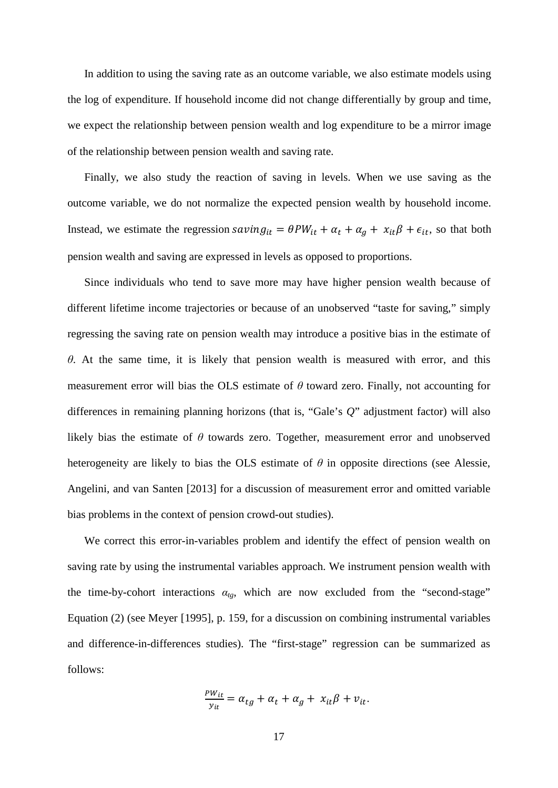In addition to using the saving rate as an outcome variable, we also estimate models using the log of expenditure. If household income did not change differentially by group and time, we expect the relationship between pension wealth and log expenditure to be a mirror image of the relationship between pension wealth and saving rate.

Finally, we also study the reaction of saving in levels. When we use saving as the outcome variable, we do not normalize the expected pension wealth by household income. Instead, we estimate the regression  $savity_{it} = \theta PW_{it} + \alpha_t + \alpha_g + x_{it}\beta + \epsilon_{it}$ , so that both pension wealth and saving are expressed in levels as opposed to proportions.

Since individuals who tend to save more may have higher pension wealth because of different lifetime income trajectories or because of an unobserved "taste for saving," simply regressing the saving rate on pension wealth may introduce a positive bias in the estimate of *θ*. At the same time, it is likely that pension wealth is measured with error, and this measurement error will bias the OLS estimate of *θ* toward zero. Finally, not accounting for differences in remaining planning horizons (that is, "Gale's *Q*" adjustment factor) will also likely bias the estimate of *θ* towards zero. Together, measurement error and unobserved heterogeneity are likely to bias the OLS estimate of *θ* in opposite directions (see Alessie, Angelini, and van Santen [2013] for a discussion of measurement error and omitted variable bias problems in the context of pension crowd-out studies).

We correct this error-in-variables problem and identify the effect of pension wealth on saving rate by using the instrumental variables approach. We instrument pension wealth with the time-by-cohort interactions  $a_{tg}$ , which are now excluded from the "second-stage" Equation (2) (see Meyer [1995], p. 159, for a discussion on combining instrumental variables and difference-in-differences studies). The "first-stage" regression can be summarized as follows:

$$
\frac{P W_{it}}{y_{it}} = \alpha_{tg} + \alpha_t + \alpha_g + x_{it}\beta + v_{it}.
$$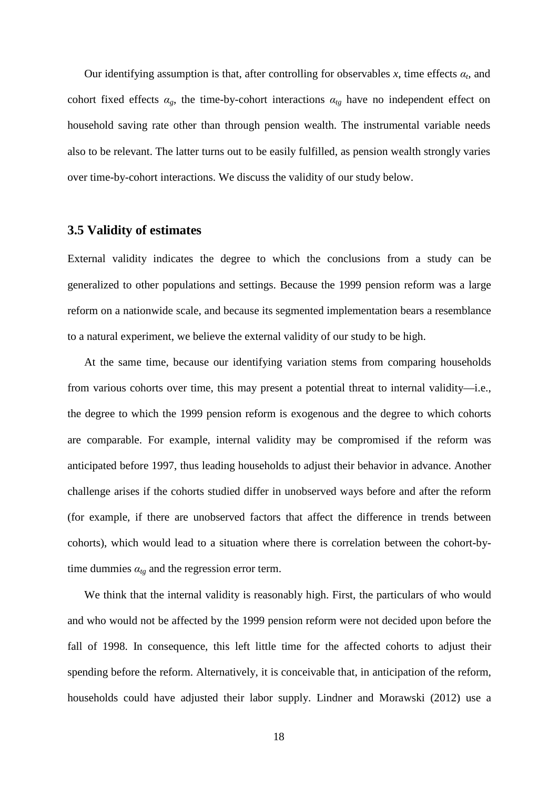Our identifying assumption is that, after controlling for observables  $x$ , time effects  $a_t$ , and cohort fixed effects  $\alpha_g$ , the time-by-cohort interactions  $\alpha_{tg}$  have no independent effect on household saving rate other than through pension wealth. The instrumental variable needs also to be relevant. The latter turns out to be easily fulfilled, as pension wealth strongly varies over time-by-cohort interactions. We discuss the validity of our study below.

#### **3.5 Validity of estimates**

External validity indicates the degree to which the conclusions from a study can be generalized to other populations and settings. Because the 1999 pension reform was a large reform on a nationwide scale, and because its segmented implementation bears a resemblance to a natural experiment, we believe the external validity of our study to be high.

At the same time, because our identifying variation stems from comparing households from various cohorts over time, this may present a potential threat to internal validity—i.e., the degree to which the 1999 pension reform is exogenous and the degree to which cohorts are comparable. For example, internal validity may be compromised if the reform was anticipated before 1997, thus leading households to adjust their behavior in advance. Another challenge arises if the cohorts studied differ in unobserved ways before and after the reform (for example, if there are unobserved factors that affect the difference in trends between cohorts), which would lead to a situation where there is correlation between the cohort-bytime dummies  $\alpha_{tg}$  and the regression error term.

We think that the internal validity is reasonably high. First, the particulars of who would and who would not be affected by the 1999 pension reform were not decided upon before the fall of 1998. In consequence, this left little time for the affected cohorts to adjust their spending before the reform. Alternatively, it is conceivable that, in anticipation of the reform, households could have adjusted their labor supply. Lindner and Morawski (2012) use a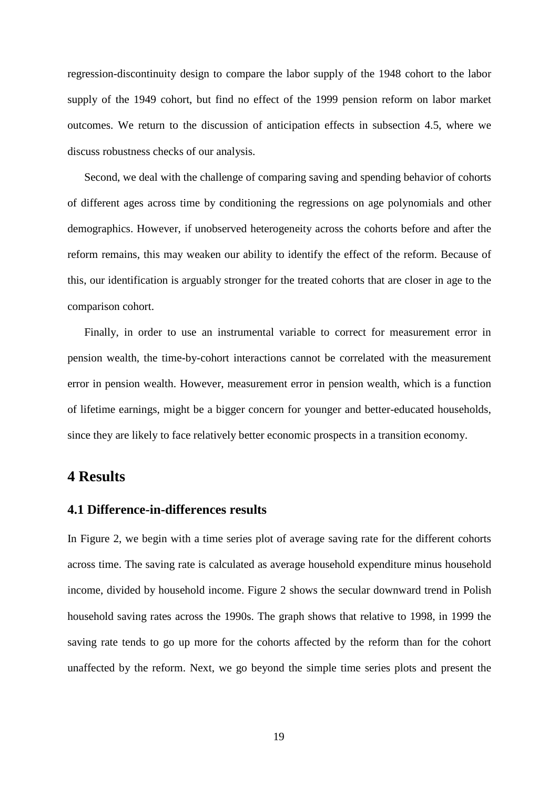regression-discontinuity design to compare the labor supply of the 1948 cohort to the labor supply of the 1949 cohort, but find no effect of the 1999 pension reform on labor market outcomes. We return to the discussion of anticipation effects in subsection 4.5, where we discuss robustness checks of our analysis.

Second, we deal with the challenge of comparing saving and spending behavior of cohorts of different ages across time by conditioning the regressions on age polynomials and other demographics. However, if unobserved heterogeneity across the cohorts before and after the reform remains, this may weaken our ability to identify the effect of the reform. Because of this, our identification is arguably stronger for the treated cohorts that are closer in age to the comparison cohort.

Finally, in order to use an instrumental variable to correct for measurement error in pension wealth, the time-by-cohort interactions cannot be correlated with the measurement error in pension wealth. However, measurement error in pension wealth, which is a function of lifetime earnings, might be a bigger concern for younger and better-educated households, since they are likely to face relatively better economic prospects in a transition economy.

# **4 Results**

#### **4.1 Difference-in-differences results**

In Figure 2, we begin with a time series plot of average saving rate for the different cohorts across time. The saving rate is calculated as average household expenditure minus household income, divided by household income. Figure 2 shows the secular downward trend in Polish household saving rates across the 1990s. The graph shows that relative to 1998, in 1999 the saving rate tends to go up more for the cohorts affected by the reform than for the cohort unaffected by the reform. Next, we go beyond the simple time series plots and present the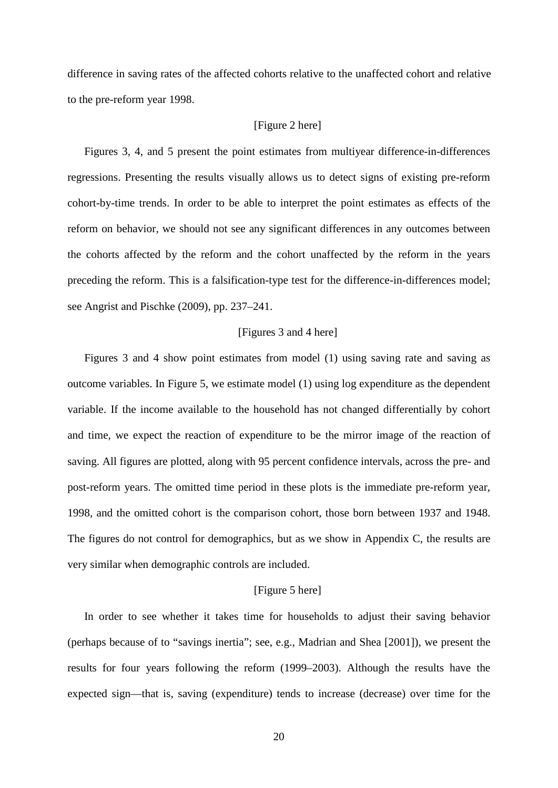difference in saving rates of the affected cohorts relative to the unaffected cohort and relative to the pre-reform year 1998.

#### [Figure 2 here]

Figures 3, 4, and 5 present the point estimates from multiyear difference-in-differences regressions. Presenting the results visually allows us to detect signs of existing pre-reform cohort-by-time trends. In order to be able to interpret the point estimates as effects of the reform on behavior, we should not see any significant differences in any outcomes between the cohorts affected by the reform and the cohort unaffected by the reform in the years preceding the reform. This is a falsification-type test for the difference-in-differences model; see Angrist and Pischke (2009), pp. 237–241.

#### [Figures 3 and 4 here]

Figures 3 and 4 show point estimates from model (1) using saving rate and saving as outcome variables. In Figure 5, we estimate model (1) using log expenditure as the dependent variable. If the income available to the household has not changed differentially by cohort and time, we expect the reaction of expenditure to be the mirror image of the reaction of saving. All figures are plotted, along with 95 percent confidence intervals, across the pre- and post-reform years. The omitted time period in these plots is the immediate pre-reform year, 1998, and the omitted cohort is the comparison cohort, those born between 1937 and 1948. The figures do not control for demographics, but as we show in Appendix C, the results are very similar when demographic controls are included.

#### [Figure 5 here]

In order to see whether it takes time for households to adjust their saving behavior (perhaps because of to "savings inertia"; see, e.g., Madrian and Shea [2001]), we present the results for four years following the reform (1999–2003). Although the results have the expected sign—that is, saving (expenditure) tends to increase (decrease) over time for the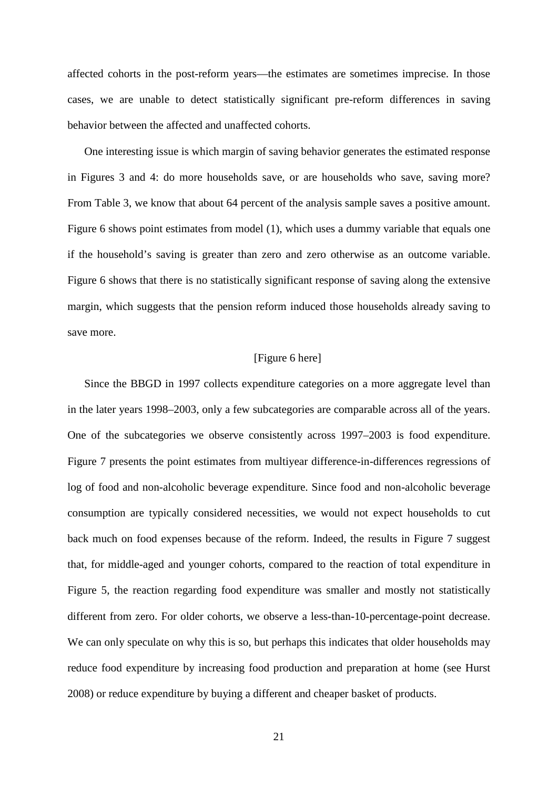affected cohorts in the post-reform years—the estimates are sometimes imprecise. In those cases, we are unable to detect statistically significant pre-reform differences in saving behavior between the affected and unaffected cohorts.

One interesting issue is which margin of saving behavior generates the estimated response in Figures 3 and 4: do more households save, or are households who save, saving more? From Table 3, we know that about 64 percent of the analysis sample saves a positive amount. Figure 6 shows point estimates from model (1), which uses a dummy variable that equals one if the household's saving is greater than zero and zero otherwise as an outcome variable. Figure 6 shows that there is no statistically significant response of saving along the extensive margin, which suggests that the pension reform induced those households already saving to save more.

#### [Figure 6 here]

Since the BBGD in 1997 collects expenditure categories on a more aggregate level than in the later years 1998–2003, only a few subcategories are comparable across all of the years. One of the subcategories we observe consistently across 1997–2003 is food expenditure. Figure 7 presents the point estimates from multiyear difference-in-differences regressions of log of food and non-alcoholic beverage expenditure. Since food and non-alcoholic beverage consumption are typically considered necessities, we would not expect households to cut back much on food expenses because of the reform. Indeed, the results in Figure 7 suggest that, for middle-aged and younger cohorts, compared to the reaction of total expenditure in Figure 5, the reaction regarding food expenditure was smaller and mostly not statistically different from zero. For older cohorts, we observe a less-than-10-percentage-point decrease. We can only speculate on why this is so, but perhaps this indicates that older households may reduce food expenditure by increasing food production and preparation at home (see Hurst 2008) or reduce expenditure by buying a different and cheaper basket of products.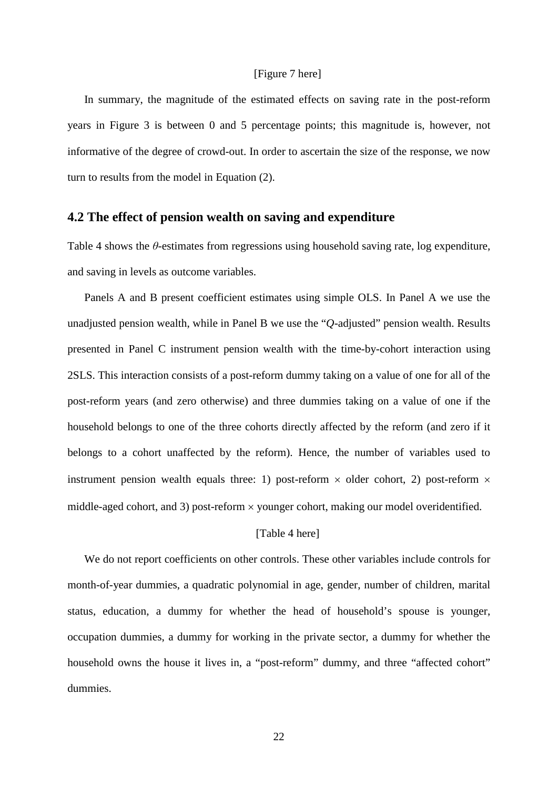#### [Figure 7 here]

In summary, the magnitude of the estimated effects on saving rate in the post-reform years in Figure 3 is between 0 and 5 percentage points; this magnitude is, however, not informative of the degree of crowd-out. In order to ascertain the size of the response, we now turn to results from the model in Equation (2).

#### **4.2 The effect of pension wealth on saving and expenditure**

Table 4 shows the *θ*-estimates from regressions using household saving rate, log expenditure, and saving in levels as outcome variables.

Panels A and B present coefficient estimates using simple OLS. In Panel A we use the unadjusted pension wealth, while in Panel B we use the "*Q*-adjusted" pension wealth. Results presented in Panel C instrument pension wealth with the time-by-cohort interaction using 2SLS. This interaction consists of a post-reform dummy taking on a value of one for all of the post-reform years (and zero otherwise) and three dummies taking on a value of one if the household belongs to one of the three cohorts directly affected by the reform (and zero if it belongs to a cohort unaffected by the reform). Hence, the number of variables used to instrument pension wealth equals three: 1) post-reform  $\times$  older cohort, 2) post-reform  $\times$ middle-aged cohort, and 3) post-reform × younger cohort, making our model overidentified.

#### [Table 4 here]

We do not report coefficients on other controls. These other variables include controls for month-of-year dummies, a quadratic polynomial in age, gender, number of children, marital status, education, a dummy for whether the head of household's spouse is younger, occupation dummies, a dummy for working in the private sector, a dummy for whether the household owns the house it lives in, a "post-reform" dummy, and three "affected cohort" dummies.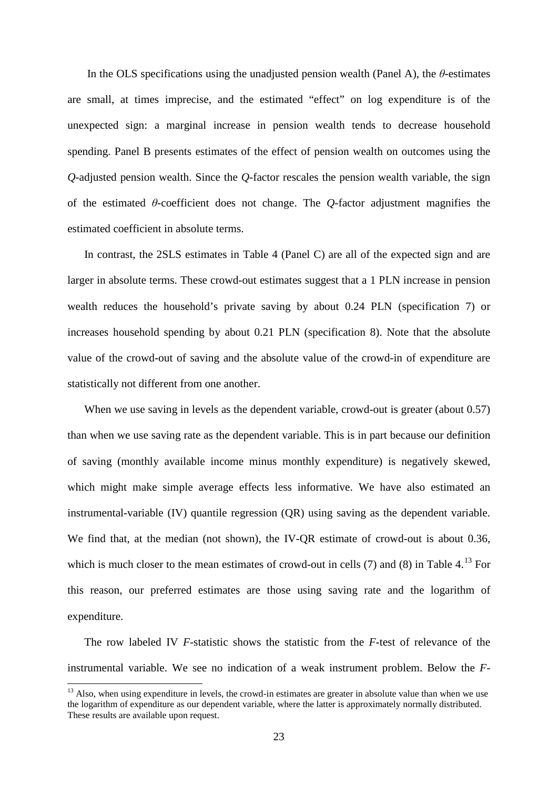In the OLS specifications using the unadjusted pension wealth (Panel A), the *θ*-estimates are small, at times imprecise, and the estimated "effect" on log expenditure is of the unexpected sign: a marginal increase in pension wealth tends to decrease household spending. Panel B presents estimates of the effect of pension wealth on outcomes using the *Q*-adjusted pension wealth. Since the *Q*-factor rescales the pension wealth variable, the sign of the estimated *θ*-coefficient does not change. The *Q*-factor adjustment magnifies the estimated coefficient in absolute terms.

In contrast, the 2SLS estimates in Table 4 (Panel C) are all of the expected sign and are larger in absolute terms. These crowd-out estimates suggest that a 1 PLN increase in pension wealth reduces the household's private saving by about 0.24 PLN (specification 7) or increases household spending by about 0.21 PLN (specification 8). Note that the absolute value of the crowd-out of saving and the absolute value of the crowd-in of expenditure are statistically not different from one another.

When we use saving in levels as the dependent variable, crowd-out is greater (about 0.57) than when we use saving rate as the dependent variable. This is in part because our definition of saving (monthly available income minus monthly expenditure) is negatively skewed, which might make simple average effects less informative. We have also estimated an instrumental-variable (IV) quantile regression (QR) using saving as the dependent variable. We find that, at the median (not shown), the IV-OR estimate of crowd-out is about 0.36, which is much closer to the mean estimates of crowd-out in cells  $(7)$  and  $(8)$  in Table 4.<sup>[13](#page-16-0)</sup> For this reason, our preferred estimates are those using saving rate and the logarithm of expenditure.

The row labeled IV *F*-statistic shows the statistic from the *F*-test of relevance of the instrumental variable. We see no indication of a weak instrument problem. Below the *F*-

<span id="page-24-0"></span><sup>&</sup>lt;sup>13</sup> Also, when using expenditure in levels, the crowd-in estimates are greater in absolute value than when we use the logarithm of expenditure as our dependent variable, where the latter is approximately normally distributed. These results are available upon request.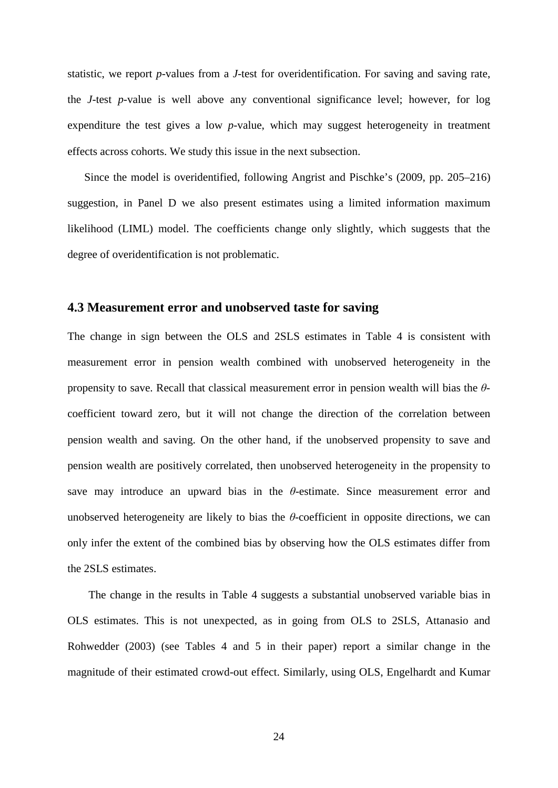statistic, we report *p*-values from a *J*-test for overidentification. For saving and saving rate, the *J*-test *p*-value is well above any conventional significance level; however, for log expenditure the test gives a low *p*-value, which may suggest heterogeneity in treatment effects across cohorts. We study this issue in the next subsection.

Since the model is overidentified, following Angrist and Pischke's (2009, pp. 205–216) suggestion, in Panel D we also present estimates using a limited information maximum likelihood (LIML) model. The coefficients change only slightly, which suggests that the degree of overidentification is not problematic.

#### **4.3 Measurement error and unobserved taste for saving**

The change in sign between the OLS and 2SLS estimates in Table 4 is consistent with measurement error in pension wealth combined with unobserved heterogeneity in the propensity to save. Recall that classical measurement error in pension wealth will bias the *θ*coefficient toward zero, but it will not change the direction of the correlation between pension wealth and saving. On the other hand, if the unobserved propensity to save and pension wealth are positively correlated, then unobserved heterogeneity in the propensity to save may introduce an upward bias in the *θ*-estimate. Since measurement error and unobserved heterogeneity are likely to bias the  $\theta$ -coefficient in opposite directions, we can only infer the extent of the combined bias by observing how the OLS estimates differ from the 2SLS estimates.

The change in the results in Table 4 suggests a substantial unobserved variable bias in OLS estimates. This is not unexpected, as in going from OLS to 2SLS, Attanasio and Rohwedder (2003) (see Tables 4 and 5 in their paper) report a similar change in the magnitude of their estimated crowd-out effect. Similarly, using OLS, Engelhardt and Kumar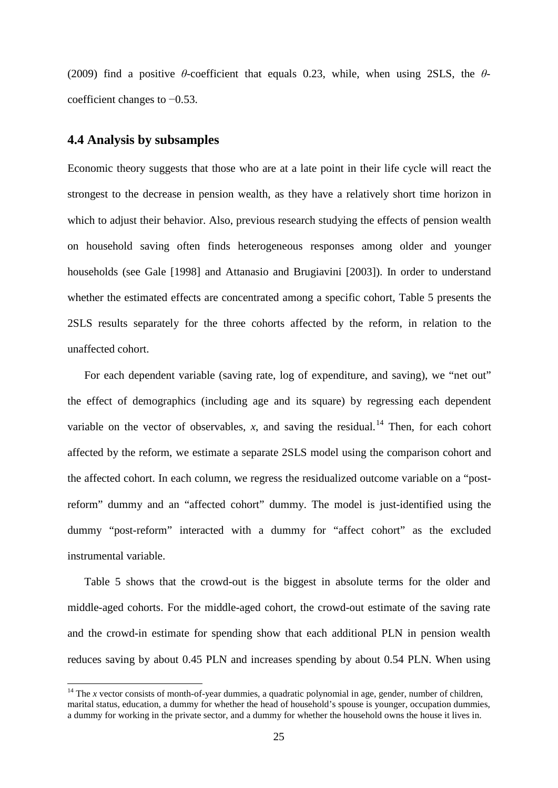(2009) find a positive *θ*-coefficient that equals 0.23, while, when using 2SLS, the *θ*coefficient changes to −0.53.

### **4.4 Analysis by subsamples**

Economic theory suggests that those who are at a late point in their life cycle will react the strongest to the decrease in pension wealth, as they have a relatively short time horizon in which to adjust their behavior. Also, previous research studying the effects of pension wealth on household saving often finds heterogeneous responses among older and younger households (see Gale [1998] and Attanasio and Brugiavini [2003]). In order to understand whether the estimated effects are concentrated among a specific cohort, Table 5 presents the 2SLS results separately for the three cohorts affected by the reform, in relation to the unaffected cohort.

For each dependent variable (saving rate, log of expenditure, and saving), we "net out" the effect of demographics (including age and its square) by regressing each dependent variable on the vector of observables,  $x$ , and saving the residual.<sup>[14](#page-24-0)</sup> Then, for each cohort affected by the reform, we estimate a separate 2SLS model using the comparison cohort and the affected cohort. In each column, we regress the residualized outcome variable on a "postreform" dummy and an "affected cohort" dummy. The model is just-identified using the dummy "post-reform" interacted with a dummy for "affect cohort" as the excluded instrumental variable.

Table 5 shows that the crowd-out is the biggest in absolute terms for the older and middle-aged cohorts. For the middle-aged cohort, the crowd-out estimate of the saving rate and the crowd-in estimate for spending show that each additional PLN in pension wealth reduces saving by about 0.45 PLN and increases spending by about 0.54 PLN. When using

<span id="page-26-0"></span><sup>&</sup>lt;sup>14</sup> The *x* vector consists of month-of-year dummies, a quadratic polynomial in age, gender, number of children, marital status, education, a dummy for whether the head of household's spouse is younger, occupation dummies, a dummy for working in the private sector, and a dummy for whether the household owns the house it lives in.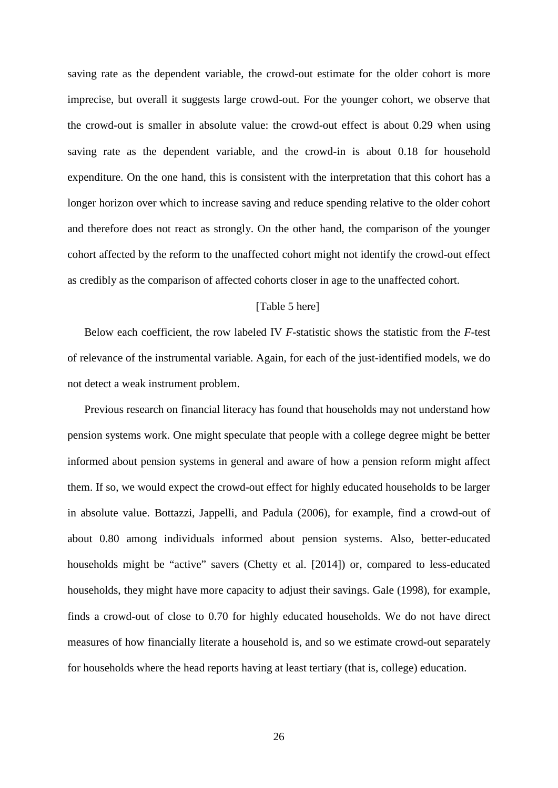saving rate as the dependent variable, the crowd-out estimate for the older cohort is more imprecise, but overall it suggests large crowd-out. For the younger cohort, we observe that the crowd-out is smaller in absolute value: the crowd-out effect is about 0.29 when using saving rate as the dependent variable, and the crowd-in is about 0.18 for household expenditure. On the one hand, this is consistent with the interpretation that this cohort has a longer horizon over which to increase saving and reduce spending relative to the older cohort and therefore does not react as strongly. On the other hand, the comparison of the younger cohort affected by the reform to the unaffected cohort might not identify the crowd-out effect as credibly as the comparison of affected cohorts closer in age to the unaffected cohort.

#### [Table 5 here]

Below each coefficient, the row labeled IV *F*-statistic shows the statistic from the *F*-test of relevance of the instrumental variable. Again, for each of the just-identified models, we do not detect a weak instrument problem.

Previous research on financial literacy has found that households may not understand how pension systems work. One might speculate that people with a college degree might be better informed about pension systems in general and aware of how a pension reform might affect them. If so, we would expect the crowd-out effect for highly educated households to be larger in absolute value. Bottazzi, Jappelli, and Padula (2006), for example, find a crowd-out of about 0.80 among individuals informed about pension systems. Also, better-educated households might be "active" savers (Chetty et al. [2014]) or, compared to less-educated households, they might have more capacity to adjust their savings. Gale (1998), for example, finds a crowd-out of close to 0.70 for highly educated households. We do not have direct measures of how financially literate a household is, and so we estimate crowd-out separately for households where the head reports having at least tertiary (that is, college) education.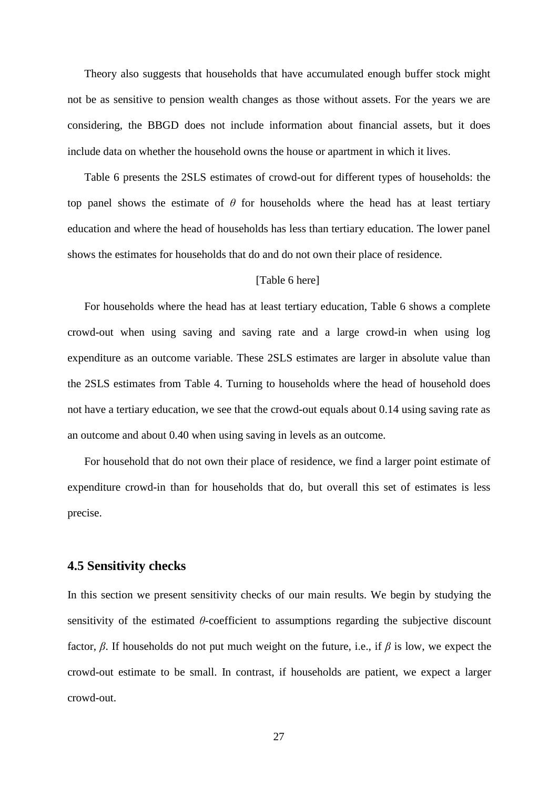Theory also suggests that households that have accumulated enough buffer stock might not be as sensitive to pension wealth changes as those without assets. For the years we are considering, the BBGD does not include information about financial assets, but it does include data on whether the household owns the house or apartment in which it lives.

Table 6 presents the 2SLS estimates of crowd-out for different types of households: the top panel shows the estimate of *θ* for households where the head has at least tertiary education and where the head of households has less than tertiary education. The lower panel shows the estimates for households that do and do not own their place of residence.

#### [Table 6 here]

For households where the head has at least tertiary education, Table 6 shows a complete crowd-out when using saving and saving rate and a large crowd-in when using log expenditure as an outcome variable. These 2SLS estimates are larger in absolute value than the 2SLS estimates from Table 4. Turning to households where the head of household does not have a tertiary education, we see that the crowd-out equals about 0.14 using saving rate as an outcome and about 0.40 when using saving in levels as an outcome.

For household that do not own their place of residence, we find a larger point estimate of expenditure crowd-in than for households that do, but overall this set of estimates is less precise.

#### **4.5 Sensitivity checks**

In this section we present sensitivity checks of our main results. We begin by studying the sensitivity of the estimated *θ*-coefficient to assumptions regarding the subjective discount factor, *β*. If households do not put much weight on the future, i.e., if *β* is low, we expect the crowd-out estimate to be small. In contrast, if households are patient, we expect a larger crowd-out.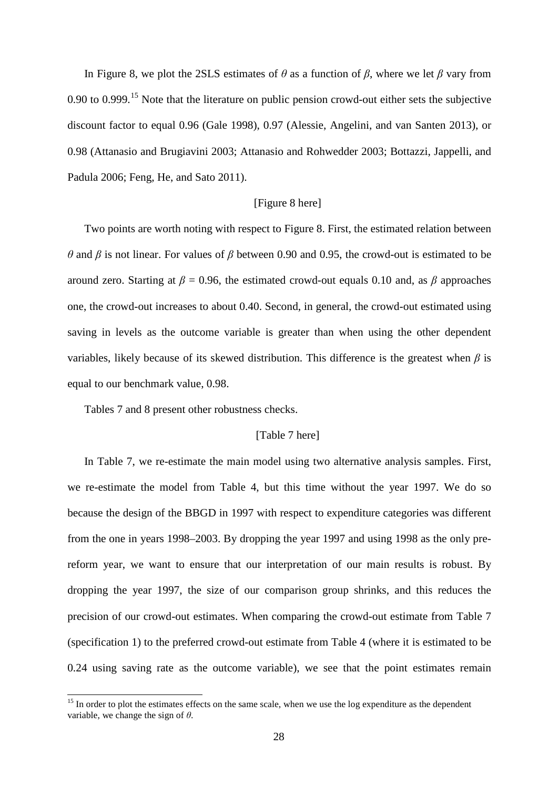In Figure 8, we plot the 2SLS estimates of  $\theta$  as a function of  $\beta$ , where we let  $\beta$  vary from 0.90 to 0.999.<sup>[15](#page-26-0)</sup> Note that the literature on public pension crowd-out either sets the subjective discount factor to equal 0.96 (Gale 1998), 0.97 (Alessie, Angelini, and van Santen 2013), or 0.98 (Attanasio and Brugiavini 2003; Attanasio and Rohwedder 2003; Bottazzi, Jappelli, and Padula 2006; Feng, He, and Sato 2011).

#### [Figure 8 here]

Two points are worth noting with respect to Figure 8. First, the estimated relation between *θ* and *β* is not linear. For values of *β* between 0.90 and 0.95, the crowd-out is estimated to be around zero. Starting at  $\beta = 0.96$ , the estimated crowd-out equals 0.10 and, as  $\beta$  approaches one, the crowd-out increases to about 0.40. Second, in general, the crowd-out estimated using saving in levels as the outcome variable is greater than when using the other dependent variables, likely because of its skewed distribution. This difference is the greatest when *β* is equal to our benchmark value, 0.98.

Tables 7 and 8 present other robustness checks.

#### [Table 7 here]

In Table 7, we re-estimate the main model using two alternative analysis samples. First, we re-estimate the model from Table 4, but this time without the year 1997. We do so because the design of the BBGD in 1997 with respect to expenditure categories was different from the one in years 1998–2003. By dropping the year 1997 and using 1998 as the only prereform year, we want to ensure that our interpretation of our main results is robust. By dropping the year 1997, the size of our comparison group shrinks, and this reduces the precision of our crowd-out estimates. When comparing the crowd-out estimate from Table 7 (specification 1) to the preferred crowd-out estimate from Table 4 (where it is estimated to be 0.24 using saving rate as the outcome variable), we see that the point estimates remain

<span id="page-29-0"></span><sup>&</sup>lt;sup>15</sup> In order to plot the estimates effects on the same scale, when we use the log expenditure as the dependent variable, we change the sign of *θ*.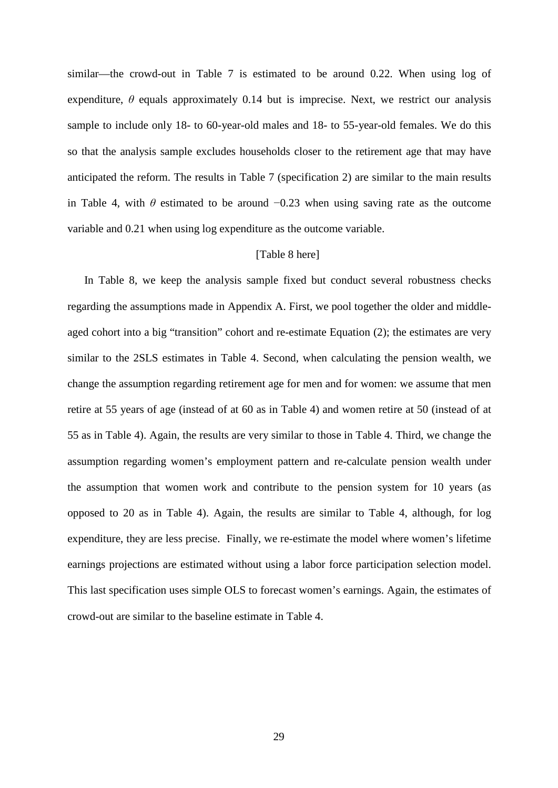similar—the crowd-out in Table 7 is estimated to be around 0.22. When using log of expenditure,  $\theta$  equals approximately 0.14 but is imprecise. Next, we restrict our analysis sample to include only 18- to 60-year-old males and 18- to 55-year-old females. We do this so that the analysis sample excludes households closer to the retirement age that may have anticipated the reform. The results in Table 7 (specification 2) are similar to the main results in Table 4, with  $\theta$  estimated to be around  $-0.23$  when using saving rate as the outcome variable and 0.21 when using log expenditure as the outcome variable.

#### [Table 8 here]

<span id="page-30-0"></span>In Table 8, we keep the analysis sample fixed but conduct several robustness checks regarding the assumptions made in Appendix A. First, we pool together the older and middleaged cohort into a big "transition" cohort and re-estimate Equation (2); the estimates are very similar to the 2SLS estimates in Table 4. Second, when calculating the pension wealth, we change the assumption regarding retirement age for men and for women: we assume that men retire at 55 years of age (instead of at 60 as in Table 4) and women retire at 50 (instead of at 55 as in Table 4). Again, the results are very similar to those in Table 4. Third, we change the assumption regarding women's employment pattern and re-calculate pension wealth under the assumption that women work and contribute to the pension system for 10 years (as opposed to 20 as in Table 4). Again, the results are similar to Table 4, although, for log expenditure, they are less precise. Finally, we re-estimate the model where women's lifetime earnings projections are estimated without using a labor force participation selection model. This last specification uses simple OLS to forecast women's earnings. Again, the estimates of crowd-out are similar to the baseline estimate in Table 4.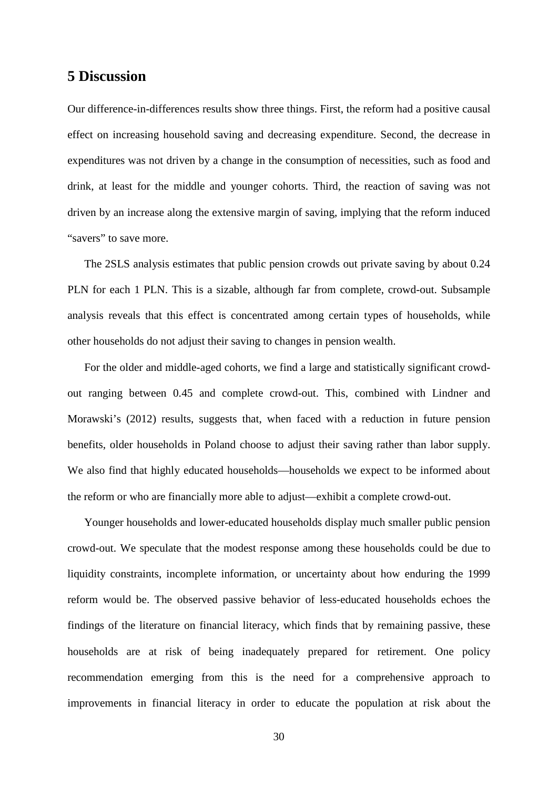### **5 Discussion**

Our difference-in-differences results show three things. First, the reform had a positive causal effect on increasing household saving and decreasing expenditure. Second, the decrease in expenditures was not driven by a change in the consumption of necessities, such as food and drink, at least for the middle and younger cohorts. Third, the reaction of saving was not driven by an increase along the extensive margin of saving, implying that the reform induced "savers" to save more.

The 2SLS analysis estimates that public pension crowds out private saving by about 0.24 PLN for each 1 PLN. This is a sizable, although far from complete, crowd-out. Subsample analysis reveals that this effect is concentrated among certain types of households, while other households do not adjust their saving to changes in pension wealth.

For the older and middle-aged cohorts, we find a large and statistically significant crowdout ranging between 0.45 and complete crowd-out. This, combined with Lindner and Morawski's (2012) results, suggests that, when faced with a reduction in future pension benefits, older households in Poland choose to adjust their saving rather than labor supply. We also find that highly educated households—households we expect to be informed about the reform or who are financially more able to adjust—exhibit a complete crowd-out.

Younger households and lower-educated households display much smaller public pension crowd-out. We speculate that the modest response among these households could be due to liquidity constraints, incomplete information, or uncertainty about how enduring the 1999 reform would be. The observed passive behavior of less-educated households echoes the findings of the literature on financial literacy, which finds that by remaining passive, these households are at risk of being inadequately prepared for retirement. One policy recommendation emerging from this is the need for a comprehensive approach to improvements in financial literacy in order to educate the population at risk about the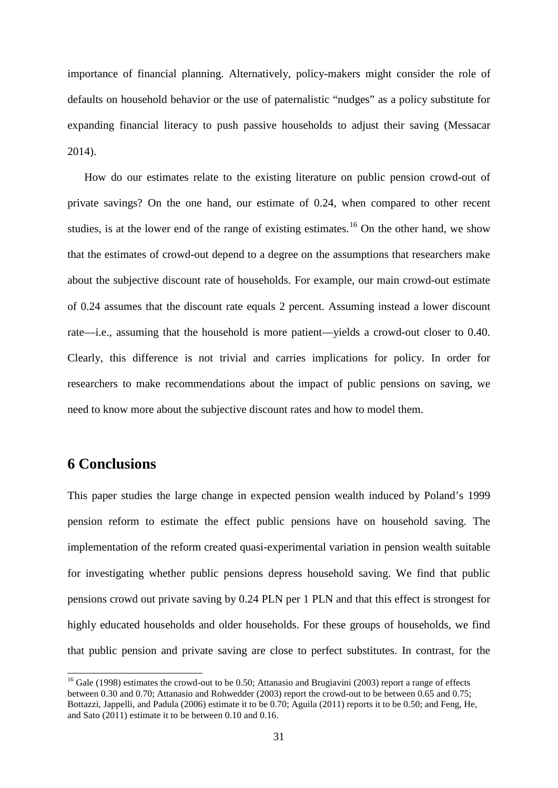importance of financial planning. Alternatively, policy-makers might consider the role of defaults on household behavior or the use of paternalistic "nudges" as a policy substitute for expanding financial literacy to push passive households to adjust their saving (Messacar 2014).

How do our estimates relate to the existing literature on public pension crowd-out of private savings? On the one hand, our estimate of 0.24, when compared to other recent studies, is at the lower end of the range of existing estimates.<sup>[16](#page-29-0)</sup> On the other hand, we show that the estimates of crowd-out depend to a degree on the assumptions that researchers make about the subjective discount rate of households. For example, our main crowd-out estimate of 0.24 assumes that the discount rate equals 2 percent. Assuming instead a lower discount rate—i.e., assuming that the household is more patient—yields a crowd-out closer to 0.40. Clearly, this difference is not trivial and carries implications for policy. In order for researchers to make recommendations about the impact of public pensions on saving, we need to know more about the subjective discount rates and how to model them.

# **6 Conclusions**

This paper studies the large change in expected pension wealth induced by Poland's 1999 pension reform to estimate the effect public pensions have on household saving. The implementation of the reform created quasi-experimental variation in pension wealth suitable for investigating whether public pensions depress household saving. We find that public pensions crowd out private saving by 0.24 PLN per 1 PLN and that this effect is strongest for highly educated households and older households. For these groups of households, we find that public pension and private saving are close to perfect substitutes. In contrast, for the

<span id="page-32-0"></span><sup>&</sup>lt;sup>16</sup> Gale (1998) estimates the crowd-out to be 0.50; Attanasio and Brugiavini (2003) report a range of effects between 0.30 and 0.70; Attanasio and Rohwedder (2003) report the crowd-out to be between 0.65 and 0.75; Bottazzi, Jappelli, and Padula (2006) estimate it to be 0.70; Aguila (2011) reports it to be 0.50; and Feng, He, and Sato (2011) estimate it to be between 0.10 and 0.16.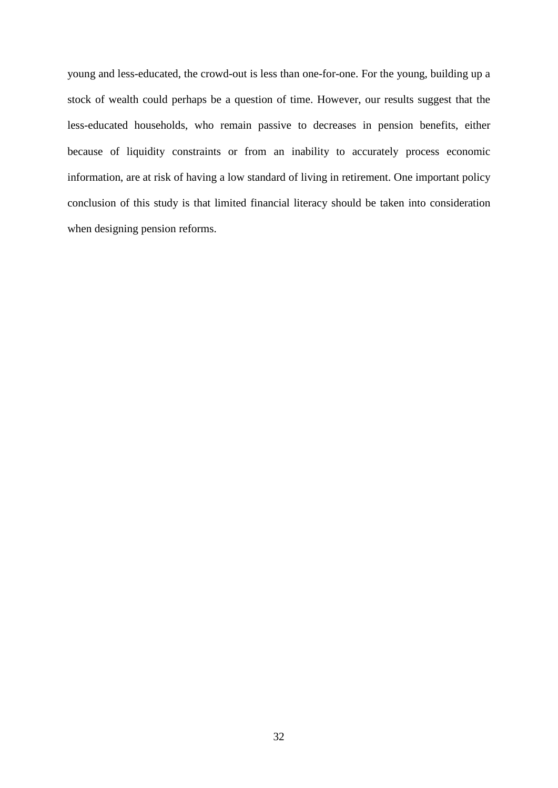young and less-educated, the crowd-out is less than one-for-one. For the young, building up a stock of wealth could perhaps be a question of time. However, our results suggest that the less-educated households, who remain passive to decreases in pension benefits, either because of liquidity constraints or from an inability to accurately process economic information, are at risk of having a low standard of living in retirement. One important policy conclusion of this study is that limited financial literacy should be taken into consideration when designing pension reforms.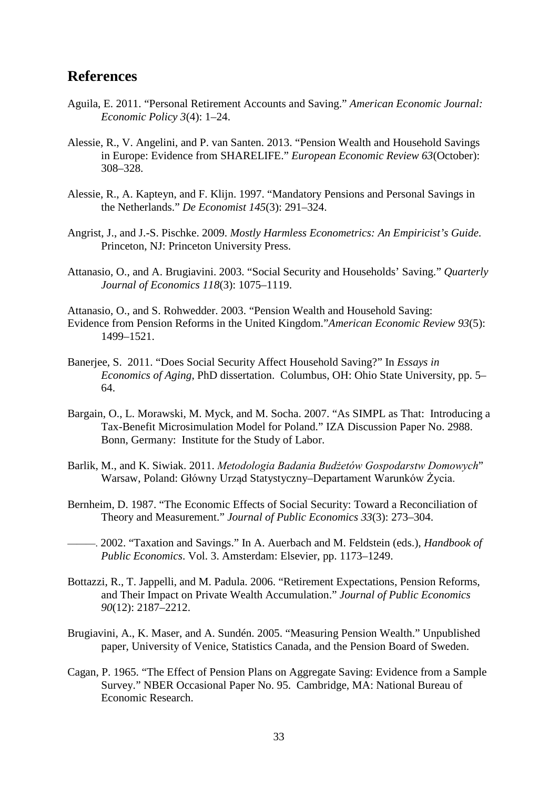### **References**

- Aguila, E. 2011. "Personal Retirement Accounts and Saving." *American Economic Journal: Economic Policy 3*(4): 1–24.
- Alessie, R., V. Angelini, and P. van Santen. 2013. "Pension Wealth and Household Savings in Europe: Evidence from SHARELIFE." *European Economic Review 63*(October): 308–328.
- Alessie, R., A. Kapteyn, and F. Klijn. 1997. "Mandatory Pensions and Personal Savings in the Netherlands." *De Economist 145*(3): 291–324.
- Angrist, J., and J.-S. Pischke. 2009. *Mostly Harmless Econometrics: An Empiricist's Guide*. Princeton, NJ: Princeton University Press.
- Attanasio, O., and A. Brugiavini. 2003. "Social Security and Households' Saving." *Quarterly Journal of Economics 118*(3): 1075–1119.

Attanasio, O., and S. Rohwedder. 2003. "Pension Wealth and Household Saving: Evidence from Pension Reforms in the United Kingdom."*American Economic Review 93*(5): 1499–1521.

- Banerjee, S. 2011. "Does Social Security Affect Household Saving?" In *Essays in Economics of Aging*, PhD dissertation. Columbus, OH: Ohio State University, pp. 5– 64.
- Bargain, O., L. Morawski, M. Myck, and M. Socha. 2007. "As SIMPL as That: Introducing a Tax-Benefit Microsimulation Model for Poland." IZA Discussion Paper No. 2988. Bonn, Germany: Institute for the Study of Labor.
- Barlik, M., and K. Siwiak. 2011. *Metodologia Badania Budżetów Gospodarstw Domowych*" Warsaw, Poland: Główny Urząd Statystyczny–Departament Warunków Życia.
- Bernheim, D. 1987. "The Economic Effects of Social Security: Toward a Reconciliation of Theory and Measurement." *Journal of Public Economics 33*(3): 273–304.
- ———. 2002. "Taxation and Savings." In A. Auerbach and M. Feldstein (eds.), *Handbook of Public Economics*. Vol. 3. Amsterdam: Elsevier, pp. 1173–1249.
- Bottazzi, R., T. Jappelli, and M. Padula. 2006. "Retirement Expectations, Pension Reforms, and Their Impact on Private Wealth Accumulation." *Journal of Public Economics 90*(12): 2187–2212.
- Brugiavini, A., K. Maser, and A. Sundén. 2005. "Measuring Pension Wealth." Unpublished paper, University of Venice, Statistics Canada, and the Pension Board of Sweden.
- Cagan, P. 1965. "The Effect of Pension Plans on Aggregate Saving: Evidence from a Sample Survey." NBER Occasional Paper No. 95. Cambridge, MA: National Bureau of Economic Research.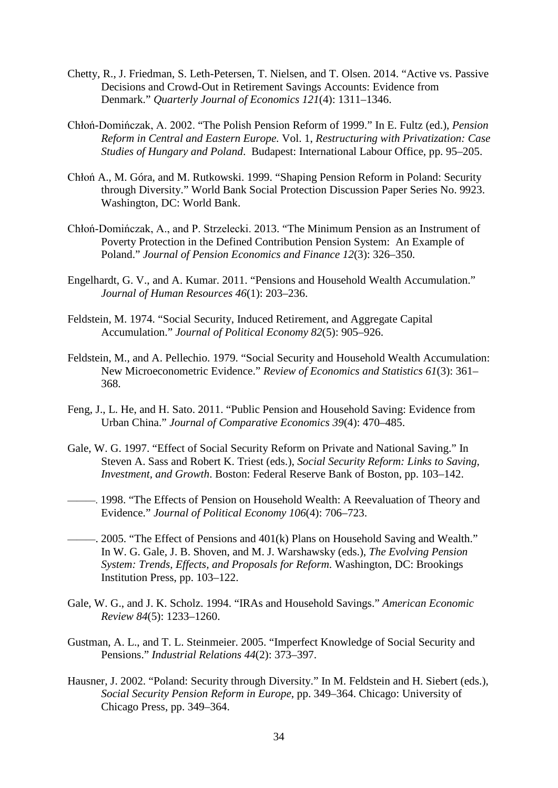- Chetty, R., J. Friedman, S. Leth-Petersen, T. Nielsen, and T. Olsen. 2014. "Active vs. Passive Decisions and Crowd-Out in Retirement Savings Accounts: Evidence from Denmark." *Quarterly Journal of Economics 121*(4): 1311–1346.
- Chłoń-Domińczak, A. 2002. "The Polish Pension Reform of 1999." In E. Fultz (ed.), *Pension Reform in Central and Eastern Europe.* Vol. 1, *Restructuring with Privatization: Case Studies of Hungary and Poland*. Budapest: International Labour Office, pp. 95–205.
- Chłoń A., M. Góra, and M. Rutkowski. 1999. "Shaping Pension Reform in Poland: Security through Diversity." World Bank Social Protection Discussion Paper Series No. 9923. Washington, DC: World Bank.
- Chłoń-Domińczak, A., and P. Strzelecki. 2013. "The Minimum Pension as an Instrument of Poverty Protection in the Defined Contribution Pension System: An Example of Poland." *Journal of Pension Economics and Finance 12*(3): 326–350.
- Engelhardt, G. V., and A. Kumar. 2011. "Pensions and Household Wealth Accumulation." *Journal of Human Resources 46*(1): 203–236.
- Feldstein, M. 1974. "Social Security, Induced Retirement, and Aggregate Capital Accumulation." *Journal of Political Economy 82*(5): 905–926.
- Feldstein, M., and A. Pellechio. 1979. ["Social Security and Household Wealth Accumulation:](http://ideas.repec.org/a/tpr/restat/v61y1979i3p361-68.html)  [New Microeconometric Evidence.](http://ideas.repec.org/a/tpr/restat/v61y1979i3p361-68.html)" *[Review of Economics and Statistics](http://ideas.repec.org/s/tpr/restat.html) 61*(3): 361– 368.
- Feng, J., L. He, and H. Sato. 2011. "Public Pension and Household Saving: Evidence from Urban China." *Journal of Comparative Economics 39*(4): 470–485.
- Gale, W. G. 1997. "Effect of Social Security Reform on Private and National Saving." In Steven A. Sass and Robert K. Triest (eds.), *Social Security Reform: Links to Saving, Investment, and Growth*. Boston: Federal Reserve Bank of Boston, pp. 103–142.
- ———. 1998. "The Effects of Pension on Household Wealth: A Reevaluation of Theory and Evidence." *Journal of Political Economy 106*(4): 706–723.
- ———. 2005. "The Effect of Pensions and 401(k) Plans on Household Saving and Wealth." In W. G. Gale, J. B. Shoven, and M. J. Warshawsky (eds.), *The Evolving Pension System: Trends, Effects, and Proposals for Reform*. Washington, DC: Brookings Institution Press, pp. 103–122.
- Gale, W. G., and J. K. Scholz. 1994. "IRAs and Household Savings." *American Economic Review 84*(5): 1233–1260.
- Gustman, A. L., and T. L. Steinmeier. 2005. "Imperfect Knowledge of Social Security and Pensions." *Industrial Relations 44*(2): 373–397.
- Hausner, J. 2002. "Poland: Security through Diversity." In M. Feldstein and H. Siebert (eds.), *Social Security Pension Reform in Europe*, pp. 349–364. Chicago: University of Chicago Press, pp. 349–364.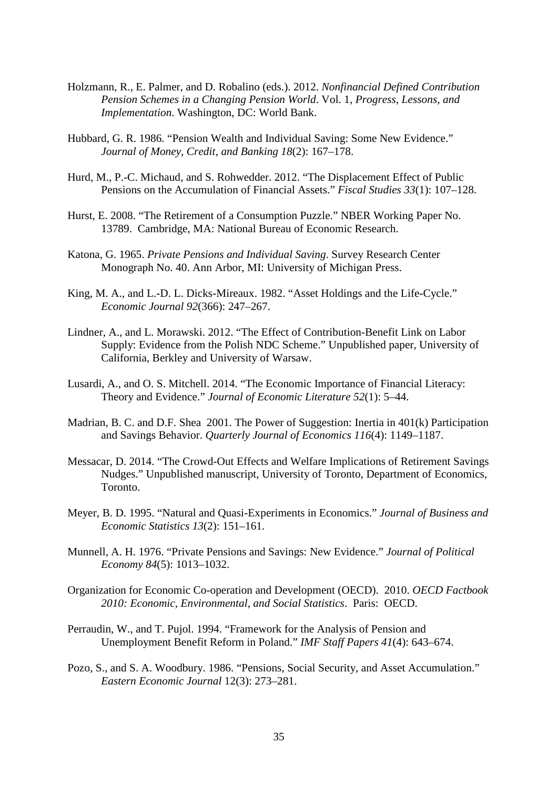- Holzmann, R., E. Palmer, and D. Robalino (eds.). 2012. *Nonfinancial Defined Contribution Pension Schemes in a Changing Pension World*. Vol. 1, *Progress, Lessons, and Implementation*. Washington, DC: World Bank.
- Hubbard, G. R. 1986. "Pension Wealth and Individual Saving: Some New Evidence." *Journal of Money, Credit, and Banking 18*(2): 167–178.
- Hurd, M., P.-C. Michaud, and S. Rohwedder. 2012. "The Displacement Effect of Public Pensions on the Accumulation of Financial Assets." *Fiscal Studies 33*(1): 107–128.
- Hurst, E. 2008. "The Retirement of a Consumption Puzzle." NBER Working Paper No. 13789. Cambridge, MA: National Bureau of Economic Research.
- Katona, G. 1965. *Private Pensions and Individual Saving*. Survey Research Center Monograph No. 40. Ann Arbor, MI: University of Michigan Press.
- King, M. A., and L.-D. L. Dicks-Mireaux. 1982. "Asset Holdings and the Life-Cycle." *Economic Journal 92*(366): 247–267.
- Lindner, A., and L. Morawski. 2012. "The Effect of Contribution-Benefit Link on Labor Supply: Evidence from the Polish NDC Scheme." Unpublished paper, University of California, Berkley and University of Warsaw.
- Lusardi, A., and O. S. Mitchell. 2014. "The Economic Importance of Financial Literacy: Theory and Evidence." *Journal of Economic Literature 52*(1): 5–44.
- Madrian, B. C. and D.F. Shea 2001. The Power of Suggestion: Inertia in 401(k) Participation and Savings Behavior. *Quarterly Journal of Economics 116*(4): 1149–1187.
- Messacar, D. 2014. "The Crowd-Out Effects and Welfare Implications of Retirement Savings Nudges." Unpublished manuscript, University of Toronto, Department of Economics, Toronto.
- Meyer, B. D. 1995. "Natural and Quasi-Experiments in Economics." *Journal of Business and Economic Statistics 13*(2): 151–161.
- Munnell, A. H. 1976. "Private Pensions and Savings: New Evidence." *Journal of Political Economy 84*(5): 1013–1032.
- Organization for Economic Co-operation and Development (OECD). 2010. *OECD Factbook 2010: Economic, Environmental, and Social Statistics*. Paris: OECD.
- Perraudin, W., and T. Pujol. 1994. "Framework for the Analysis of Pension and Unemployment Benefit Reform in Poland." *IMF Staff Papers 41*(4): 643–674.
- Pozo, S., and S. A. Woodbury. 1986. "Pensions, Social Security, and Asset Accumulation." *Eastern Economic Journal* 12(3): 273–281.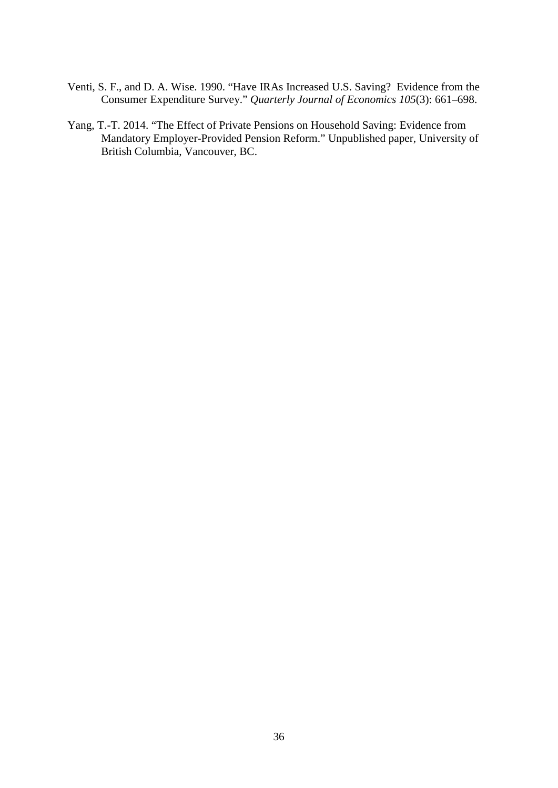- Venti, S. F., and D. A. Wise. 1990. "Have IRAs Increased U.S. Saving? Evidence from the Consumer Expenditure Survey." *Quarterly Journal of Economics 105*(3): 661–698.
- Yang, T.-T. 2014. "The Effect of Private Pensions on Household Saving: Evidence from Mandatory Employer-Provided Pension Reform." Unpublished paper, University of British Columbia, Vancouver, BC.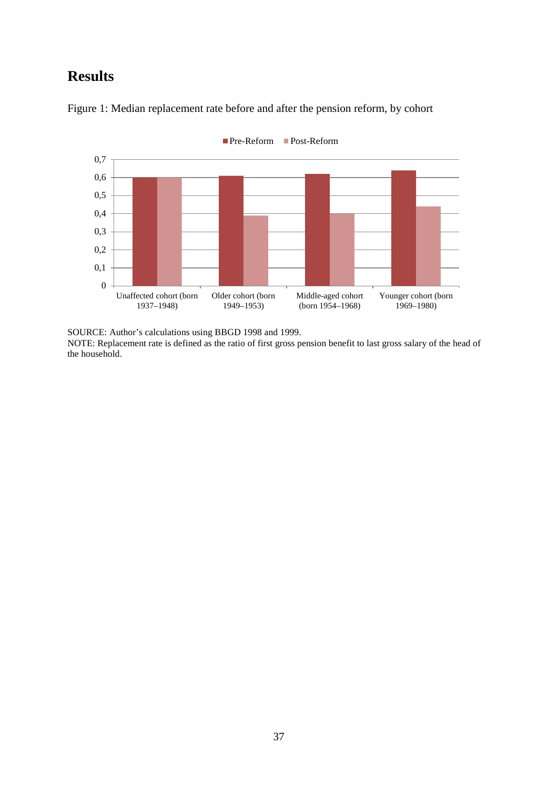# **Results**



Figure 1: Median replacement rate before and after the pension reform, by cohort

SOURCE: Author's calculations using BBGD 1998 and 1999.

NOTE: Replacement rate is defined as the ratio of first gross pension benefit to last gross salary of the head of the household.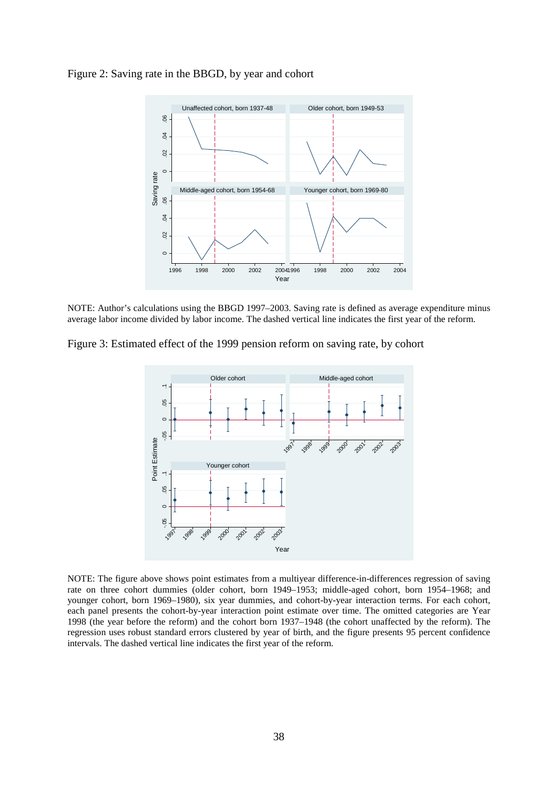



NOTE: Author's calculations using the BBGD 1997–2003. Saving rate is defined as average expenditure minus average labor income divided by labor income. The dashed vertical line indicates the first year of the reform.

Figure 3: Estimated effect of the 1999 pension reform on saving rate, by cohort



NOTE: The figure above shows point estimates from a multiyear difference-in-differences regression of saving rate on three cohort dummies (older cohort, born 1949–1953; middle-aged cohort, born 1954–1968; and younger cohort, born 1969–1980), six year dummies, and cohort-by-year interaction terms. For each cohort, each panel presents the cohort-by-year interaction point estimate over time. The omitted categories are Year 1998 (the year before the reform) and the cohort born 1937–1948 (the cohort unaffected by the reform). The regression uses robust standard errors clustered by year of birth, and the figure presents 95 percent confidence intervals. The dashed vertical line indicates the first year of the reform.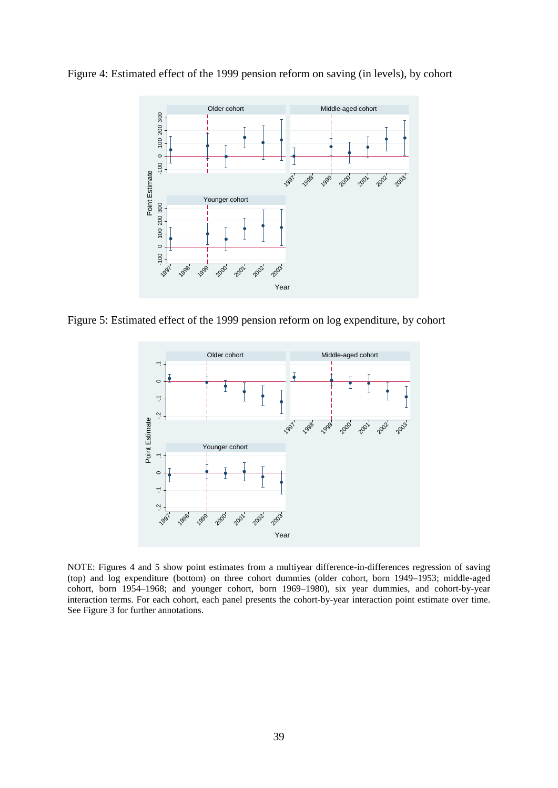



Figure 5: Estimated effect of the 1999 pension reform on log expenditure, by cohort



NOTE: Figures 4 and 5 show point estimates from a multiyear difference-in-differences regression of saving (top) and log expenditure (bottom) on three cohort dummies (older cohort, born 1949–1953; middle-aged cohort, born 1954–1968; and younger cohort, born 1969–1980), six year dummies, and cohort-by-year interaction terms. For each cohort, each panel presents the cohort-by-year interaction point estimate over time.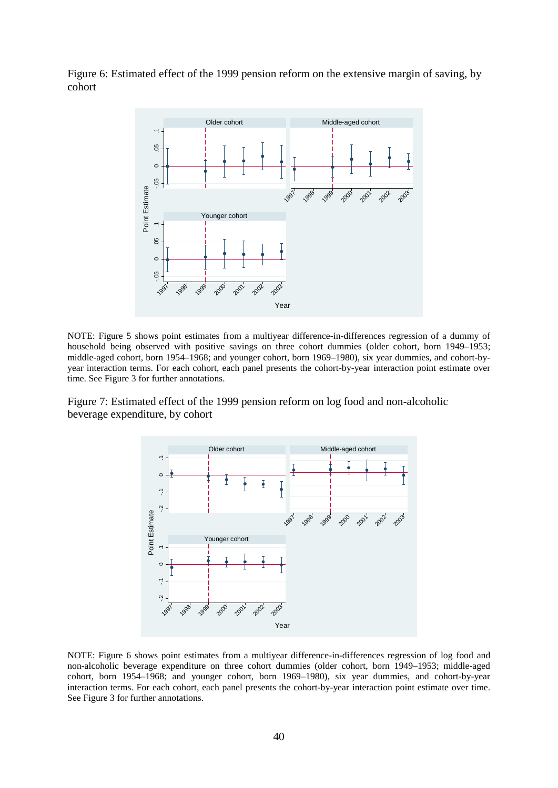Figure 6: Estimated effect of the 1999 pension reform on the extensive margin of saving, by cohort



NOTE: Figure 5 shows point estimates from a multiyear difference-in-differences regression of a dummy of household being observed with positive savings on three cohort dummies (older cohort, born 1949–1953; middle-aged cohort, born 1954–1968; and younger cohort, born 1969–1980), six year dummies, and cohort-byyear interaction terms. For each cohort, each panel presents the cohort-by-year interaction point estimate over time. See Figure 3 for further annotations.

Figure 7: Estimated effect of the 1999 pension reform on log food and non-alcoholic beverage expenditure, by cohort



NOTE: Figure 6 shows point estimates from a multiyear difference-in-differences regression of log food and non-alcoholic beverage expenditure on three cohort dummies (older cohort, born 1949–1953; middle-aged cohort, born 1954–1968; and younger cohort, born 1969–1980), six year dummies, and cohort-by-year interaction terms. For each cohort, each panel presents the cohort-by-year interaction point estimate over time.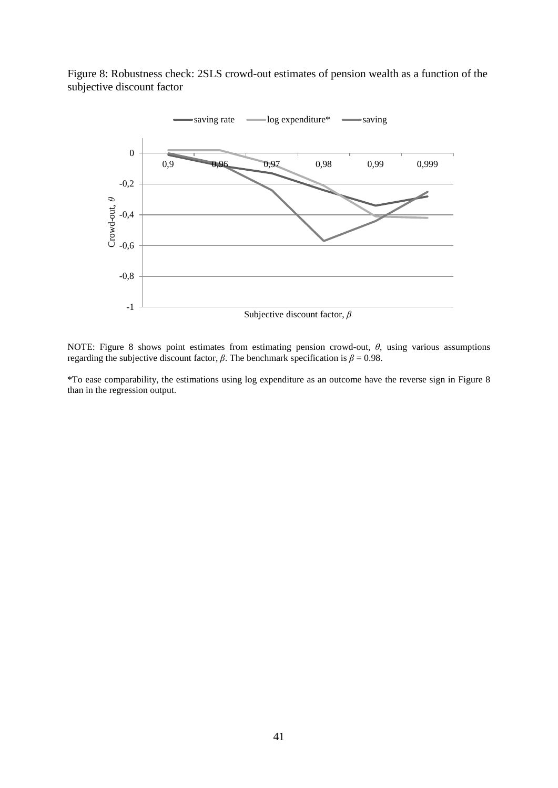Figure 8: Robustness check: 2SLS crowd-out estimates of pension wealth as a function of the subjective discount factor



NOTE: Figure 8 shows point estimates from estimating pension crowd-out, *θ*, using various assumptions regarding the subjective discount factor, *β*. The benchmark specification is  $β = 0.98$ .

\*To ease comparability, the estimations using log expenditure as an outcome have the reverse sign in Figure 8 than in the regression output.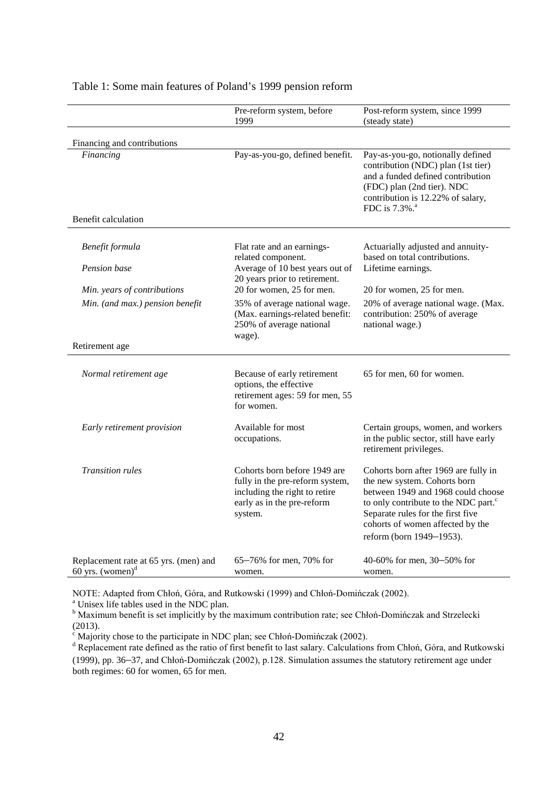|                                                              | Pre-reform system, before<br>1999                                                                                                         | Post-reform system, since 1999<br>(steady state)                                                                                                                                                                                                                    |
|--------------------------------------------------------------|-------------------------------------------------------------------------------------------------------------------------------------------|---------------------------------------------------------------------------------------------------------------------------------------------------------------------------------------------------------------------------------------------------------------------|
| Financing and contributions                                  |                                                                                                                                           |                                                                                                                                                                                                                                                                     |
| Financing<br>Benefit calculation                             | Pay-as-you-go, defined benefit.                                                                                                           | Pay-as-you-go, notionally defined<br>contribution (NDC) plan (1st tier)<br>and a funded defined contribution<br>(FDC) plan (2nd tier). NDC<br>contribution is 12.22% of salary,<br>FDC is 7.3%. <sup>a</sup>                                                        |
|                                                              |                                                                                                                                           |                                                                                                                                                                                                                                                                     |
| Benefit formula                                              | Flat rate and an earnings-<br>related component.                                                                                          | Actuarially adjusted and annuity-<br>based on total contributions.                                                                                                                                                                                                  |
| Pension base                                                 | Average of 10 best years out of<br>20 years prior to retirement.                                                                          | Lifetime earnings.                                                                                                                                                                                                                                                  |
| Min. years of contributions                                  | 20 for women, 25 for men.                                                                                                                 | 20 for women, 25 for men.                                                                                                                                                                                                                                           |
| Min. (and max.) pension benefit                              | 35% of average national wage.<br>(Max. earnings-related benefit:<br>250% of average national<br>wage).                                    | 20% of average national wage. (Max.<br>contribution: 250% of average<br>national wage.)                                                                                                                                                                             |
| Retirement age                                               |                                                                                                                                           |                                                                                                                                                                                                                                                                     |
| Normal retirement age                                        | Because of early retirement<br>options, the effective<br>retirement ages: 59 for men, 55<br>for women.                                    | 65 for men, 60 for women.                                                                                                                                                                                                                                           |
| Early retirement provision                                   | Available for most<br>occupations.                                                                                                        | Certain groups, women, and workers<br>in the public sector, still have early<br>retirement privileges.                                                                                                                                                              |
| <b>Transition rules</b>                                      | Cohorts born before 1949 are<br>fully in the pre-reform system,<br>including the right to retire<br>early as in the pre-reform<br>system. | Cohorts born after 1969 are fully in<br>the new system. Cohorts born<br>between 1949 and 1968 could choose<br>to only contribute to the NDC part. <sup>c</sup><br>Separate rules for the first five<br>cohorts of women affected by the<br>reform (born 1949-1953). |
| Replacement rate at 65 yrs. (men) and<br>60 yrs. (women) $d$ | 65-76% for men, 70% for<br>women.                                                                                                         | 40-60% for men, $30-50%$ for<br>women.                                                                                                                                                                                                                              |

#### Table 1: Some main features of Poland's 1999 pension reform

NOTE: Adapted from Chłoń, Góra, and Rutkowski (1999) and Chłoń-Domińczak (2002).<br><sup>a</sup> Unisex life tables used in the NDC plan.

<sup>b</sup> Maximum benefit is set implicitly by the maximum contribution rate; see Chłoń-Domińczak and Strzelecki (2013).

<sup>c</sup> Majority chose to the participate in NDC plan; see Chłoń-Domińczak (2002).<br><sup>d</sup> Replacement rate defined as the ratio of first benefit to last salary. Calculations from Chłoń, Góra, and Rutkowski (1999), pp. 36–37, and Chłoń-Domińczak (2002), p.128. Simulation assumes the statutory retirement age under both regimes: 60 for women, 65 for men.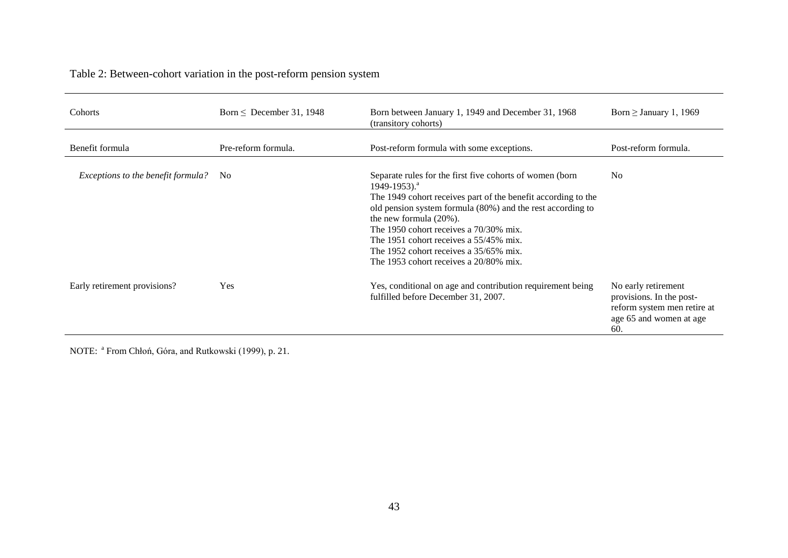Table 2: Between-cohort variation in the post-reform pension system

| Cohorts                            | Born $\leq$ December 31, 1948 | Born between January 1, 1949 and December 31, 1968<br>(transitory cohorts)                                                                                                                                                                                                                                                                                                                                                     | Born $\geq$ January 1, 1969                                                                                      |
|------------------------------------|-------------------------------|--------------------------------------------------------------------------------------------------------------------------------------------------------------------------------------------------------------------------------------------------------------------------------------------------------------------------------------------------------------------------------------------------------------------------------|------------------------------------------------------------------------------------------------------------------|
| Benefit formula                    | Pre-reform formula.           | Post-reform formula with some exceptions.                                                                                                                                                                                                                                                                                                                                                                                      | Post-reform formula.                                                                                             |
| Exceptions to the benefit formula? | N <sub>0</sub>                | Separate rules for the first five cohorts of women (born<br>$1949 - 1953$ ). <sup>a</sup><br>The 1949 cohort receives part of the benefit according to the<br>old pension system formula (80%) and the rest according to<br>the new formula $(20\%)$ .<br>The 1950 cohort receives a 70/30% mix.<br>The 1951 cohort receives a 55/45% mix.<br>The 1952 cohort receives a 35/65% mix.<br>The 1953 cohort receives a 20/80% mix. | N <sub>0</sub>                                                                                                   |
| Early retirement provisions?       | Yes                           | Yes, conditional on age and contribution requirement being<br>fulfilled before December 31, 2007.                                                                                                                                                                                                                                                                                                                              | No early retirement<br>provisions. In the post-<br>reform system men retire at<br>age 65 and women at age<br>60. |

NOTE: <sup>a</sup> From Chłoń, Góra, and Rutkowski (1999), p. 21.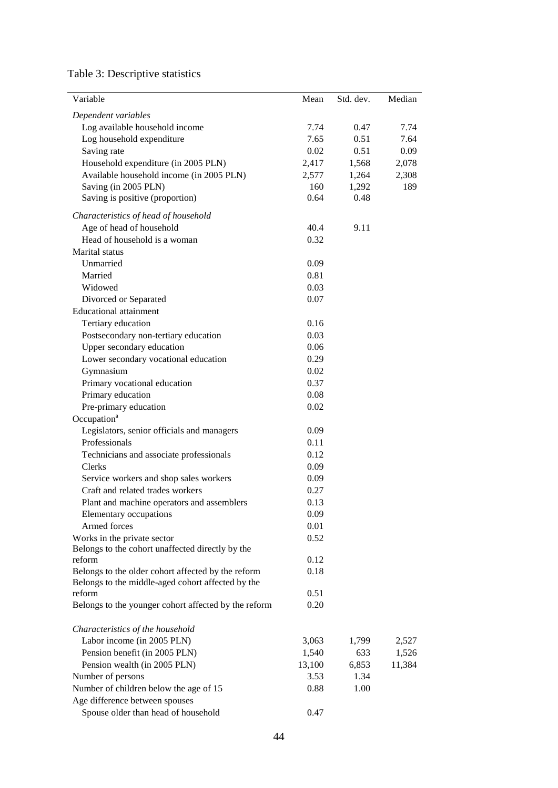# Table 3: Descriptive statistics

| Dependent variables<br>Log available household income<br>7.74<br>0.47<br>7.74<br>7.65<br>0.51<br>7.64<br>Log household expenditure<br>Saving rate<br>0.02<br>0.51<br>0.09<br>Household expenditure (in 2005 PLN)<br>2,417<br>1,568<br>2,078<br>Available household income (in 2005 PLN)<br>2,577<br>2,308<br>1,264<br>Saving (in 2005 PLN)<br>1,292<br>189<br>160<br>0.64<br>Saving is positive (proportion)<br>0.48<br>Characteristics of head of household<br>Age of head of household<br>40.4<br>9.11<br>Head of household is a woman<br>0.32<br>Marital status<br>Unmarried<br>0.09<br>Married<br>0.81<br>Widowed<br>0.03<br>0.07<br>Divorced or Separated<br><b>Educational attainment</b><br>Tertiary education<br>0.16<br>Postsecondary non-tertiary education<br>0.03<br>Upper secondary education<br>0.06<br>Lower secondary vocational education<br>0.29<br>Gymnasium<br>0.02<br>Primary vocational education<br>0.37<br>Primary education<br>0.08<br>Pre-primary education<br>0.02<br>Occupation <sup>a</sup><br>Legislators, senior officials and managers<br>0.09<br>Professionals<br>0.11<br>Technicians and associate professionals<br>0.12<br>0.09<br>Clerks<br>Service workers and shop sales workers<br>0.09<br>Craft and related trades workers<br>0.27<br>Plant and machine operators and assemblers<br>0.13<br>Elementary occupations<br>0.09<br>Armed forces<br>0.01<br>0.52<br>Works in the private sector<br>Belongs to the cohort unaffected directly by the<br>reform<br>0.12<br>Belongs to the older cohort affected by the reform<br>0.18<br>Belongs to the middle-aged cohort affected by the<br>reform<br>0.51<br>0.20<br>Belongs to the younger cohort affected by the reform<br>Characteristics of the household<br>Labor income (in 2005 PLN)<br>3,063<br>1,799<br>2,527<br>Pension benefit (in 2005 PLN)<br>1,540<br>633<br>1,526<br>Pension wealth (in 2005 PLN)<br>13,100<br>6,853<br>11,384<br>1.34<br>Number of persons<br>3.53<br>Number of children below the age of 15<br>0.88<br>1.00<br>Age difference between spouses | Variable | Mean | Std. dev. | Median |
|-------------------------------------------------------------------------------------------------------------------------------------------------------------------------------------------------------------------------------------------------------------------------------------------------------------------------------------------------------------------------------------------------------------------------------------------------------------------------------------------------------------------------------------------------------------------------------------------------------------------------------------------------------------------------------------------------------------------------------------------------------------------------------------------------------------------------------------------------------------------------------------------------------------------------------------------------------------------------------------------------------------------------------------------------------------------------------------------------------------------------------------------------------------------------------------------------------------------------------------------------------------------------------------------------------------------------------------------------------------------------------------------------------------------------------------------------------------------------------------------------------------------------------------------------------------------------------------------------------------------------------------------------------------------------------------------------------------------------------------------------------------------------------------------------------------------------------------------------------------------------------------------------------------------------------------------------------------------------------------------------------------------------------------------------------------------|----------|------|-----------|--------|
|                                                                                                                                                                                                                                                                                                                                                                                                                                                                                                                                                                                                                                                                                                                                                                                                                                                                                                                                                                                                                                                                                                                                                                                                                                                                                                                                                                                                                                                                                                                                                                                                                                                                                                                                                                                                                                                                                                                                                                                                                                                                   |          |      |           |        |
|                                                                                                                                                                                                                                                                                                                                                                                                                                                                                                                                                                                                                                                                                                                                                                                                                                                                                                                                                                                                                                                                                                                                                                                                                                                                                                                                                                                                                                                                                                                                                                                                                                                                                                                                                                                                                                                                                                                                                                                                                                                                   |          |      |           |        |
|                                                                                                                                                                                                                                                                                                                                                                                                                                                                                                                                                                                                                                                                                                                                                                                                                                                                                                                                                                                                                                                                                                                                                                                                                                                                                                                                                                                                                                                                                                                                                                                                                                                                                                                                                                                                                                                                                                                                                                                                                                                                   |          |      |           |        |
|                                                                                                                                                                                                                                                                                                                                                                                                                                                                                                                                                                                                                                                                                                                                                                                                                                                                                                                                                                                                                                                                                                                                                                                                                                                                                                                                                                                                                                                                                                                                                                                                                                                                                                                                                                                                                                                                                                                                                                                                                                                                   |          |      |           |        |
|                                                                                                                                                                                                                                                                                                                                                                                                                                                                                                                                                                                                                                                                                                                                                                                                                                                                                                                                                                                                                                                                                                                                                                                                                                                                                                                                                                                                                                                                                                                                                                                                                                                                                                                                                                                                                                                                                                                                                                                                                                                                   |          |      |           |        |
|                                                                                                                                                                                                                                                                                                                                                                                                                                                                                                                                                                                                                                                                                                                                                                                                                                                                                                                                                                                                                                                                                                                                                                                                                                                                                                                                                                                                                                                                                                                                                                                                                                                                                                                                                                                                                                                                                                                                                                                                                                                                   |          |      |           |        |
|                                                                                                                                                                                                                                                                                                                                                                                                                                                                                                                                                                                                                                                                                                                                                                                                                                                                                                                                                                                                                                                                                                                                                                                                                                                                                                                                                                                                                                                                                                                                                                                                                                                                                                                                                                                                                                                                                                                                                                                                                                                                   |          |      |           |        |
|                                                                                                                                                                                                                                                                                                                                                                                                                                                                                                                                                                                                                                                                                                                                                                                                                                                                                                                                                                                                                                                                                                                                                                                                                                                                                                                                                                                                                                                                                                                                                                                                                                                                                                                                                                                                                                                                                                                                                                                                                                                                   |          |      |           |        |
|                                                                                                                                                                                                                                                                                                                                                                                                                                                                                                                                                                                                                                                                                                                                                                                                                                                                                                                                                                                                                                                                                                                                                                                                                                                                                                                                                                                                                                                                                                                                                                                                                                                                                                                                                                                                                                                                                                                                                                                                                                                                   |          |      |           |        |
|                                                                                                                                                                                                                                                                                                                                                                                                                                                                                                                                                                                                                                                                                                                                                                                                                                                                                                                                                                                                                                                                                                                                                                                                                                                                                                                                                                                                                                                                                                                                                                                                                                                                                                                                                                                                                                                                                                                                                                                                                                                                   |          |      |           |        |
|                                                                                                                                                                                                                                                                                                                                                                                                                                                                                                                                                                                                                                                                                                                                                                                                                                                                                                                                                                                                                                                                                                                                                                                                                                                                                                                                                                                                                                                                                                                                                                                                                                                                                                                                                                                                                                                                                                                                                                                                                                                                   |          |      |           |        |
|                                                                                                                                                                                                                                                                                                                                                                                                                                                                                                                                                                                                                                                                                                                                                                                                                                                                                                                                                                                                                                                                                                                                                                                                                                                                                                                                                                                                                                                                                                                                                                                                                                                                                                                                                                                                                                                                                                                                                                                                                                                                   |          |      |           |        |
|                                                                                                                                                                                                                                                                                                                                                                                                                                                                                                                                                                                                                                                                                                                                                                                                                                                                                                                                                                                                                                                                                                                                                                                                                                                                                                                                                                                                                                                                                                                                                                                                                                                                                                                                                                                                                                                                                                                                                                                                                                                                   |          |      |           |        |
|                                                                                                                                                                                                                                                                                                                                                                                                                                                                                                                                                                                                                                                                                                                                                                                                                                                                                                                                                                                                                                                                                                                                                                                                                                                                                                                                                                                                                                                                                                                                                                                                                                                                                                                                                                                                                                                                                                                                                                                                                                                                   |          |      |           |        |
|                                                                                                                                                                                                                                                                                                                                                                                                                                                                                                                                                                                                                                                                                                                                                                                                                                                                                                                                                                                                                                                                                                                                                                                                                                                                                                                                                                                                                                                                                                                                                                                                                                                                                                                                                                                                                                                                                                                                                                                                                                                                   |          |      |           |        |
|                                                                                                                                                                                                                                                                                                                                                                                                                                                                                                                                                                                                                                                                                                                                                                                                                                                                                                                                                                                                                                                                                                                                                                                                                                                                                                                                                                                                                                                                                                                                                                                                                                                                                                                                                                                                                                                                                                                                                                                                                                                                   |          |      |           |        |
|                                                                                                                                                                                                                                                                                                                                                                                                                                                                                                                                                                                                                                                                                                                                                                                                                                                                                                                                                                                                                                                                                                                                                                                                                                                                                                                                                                                                                                                                                                                                                                                                                                                                                                                                                                                                                                                                                                                                                                                                                                                                   |          |      |           |        |
|                                                                                                                                                                                                                                                                                                                                                                                                                                                                                                                                                                                                                                                                                                                                                                                                                                                                                                                                                                                                                                                                                                                                                                                                                                                                                                                                                                                                                                                                                                                                                                                                                                                                                                                                                                                                                                                                                                                                                                                                                                                                   |          |      |           |        |
|                                                                                                                                                                                                                                                                                                                                                                                                                                                                                                                                                                                                                                                                                                                                                                                                                                                                                                                                                                                                                                                                                                                                                                                                                                                                                                                                                                                                                                                                                                                                                                                                                                                                                                                                                                                                                                                                                                                                                                                                                                                                   |          |      |           |        |
|                                                                                                                                                                                                                                                                                                                                                                                                                                                                                                                                                                                                                                                                                                                                                                                                                                                                                                                                                                                                                                                                                                                                                                                                                                                                                                                                                                                                                                                                                                                                                                                                                                                                                                                                                                                                                                                                                                                                                                                                                                                                   |          |      |           |        |
|                                                                                                                                                                                                                                                                                                                                                                                                                                                                                                                                                                                                                                                                                                                                                                                                                                                                                                                                                                                                                                                                                                                                                                                                                                                                                                                                                                                                                                                                                                                                                                                                                                                                                                                                                                                                                                                                                                                                                                                                                                                                   |          |      |           |        |
|                                                                                                                                                                                                                                                                                                                                                                                                                                                                                                                                                                                                                                                                                                                                                                                                                                                                                                                                                                                                                                                                                                                                                                                                                                                                                                                                                                                                                                                                                                                                                                                                                                                                                                                                                                                                                                                                                                                                                                                                                                                                   |          |      |           |        |
|                                                                                                                                                                                                                                                                                                                                                                                                                                                                                                                                                                                                                                                                                                                                                                                                                                                                                                                                                                                                                                                                                                                                                                                                                                                                                                                                                                                                                                                                                                                                                                                                                                                                                                                                                                                                                                                                                                                                                                                                                                                                   |          |      |           |        |
|                                                                                                                                                                                                                                                                                                                                                                                                                                                                                                                                                                                                                                                                                                                                                                                                                                                                                                                                                                                                                                                                                                                                                                                                                                                                                                                                                                                                                                                                                                                                                                                                                                                                                                                                                                                                                                                                                                                                                                                                                                                                   |          |      |           |        |
|                                                                                                                                                                                                                                                                                                                                                                                                                                                                                                                                                                                                                                                                                                                                                                                                                                                                                                                                                                                                                                                                                                                                                                                                                                                                                                                                                                                                                                                                                                                                                                                                                                                                                                                                                                                                                                                                                                                                                                                                                                                                   |          |      |           |        |
|                                                                                                                                                                                                                                                                                                                                                                                                                                                                                                                                                                                                                                                                                                                                                                                                                                                                                                                                                                                                                                                                                                                                                                                                                                                                                                                                                                                                                                                                                                                                                                                                                                                                                                                                                                                                                                                                                                                                                                                                                                                                   |          |      |           |        |
|                                                                                                                                                                                                                                                                                                                                                                                                                                                                                                                                                                                                                                                                                                                                                                                                                                                                                                                                                                                                                                                                                                                                                                                                                                                                                                                                                                                                                                                                                                                                                                                                                                                                                                                                                                                                                                                                                                                                                                                                                                                                   |          |      |           |        |
|                                                                                                                                                                                                                                                                                                                                                                                                                                                                                                                                                                                                                                                                                                                                                                                                                                                                                                                                                                                                                                                                                                                                                                                                                                                                                                                                                                                                                                                                                                                                                                                                                                                                                                                                                                                                                                                                                                                                                                                                                                                                   |          |      |           |        |
|                                                                                                                                                                                                                                                                                                                                                                                                                                                                                                                                                                                                                                                                                                                                                                                                                                                                                                                                                                                                                                                                                                                                                                                                                                                                                                                                                                                                                                                                                                                                                                                                                                                                                                                                                                                                                                                                                                                                                                                                                                                                   |          |      |           |        |
|                                                                                                                                                                                                                                                                                                                                                                                                                                                                                                                                                                                                                                                                                                                                                                                                                                                                                                                                                                                                                                                                                                                                                                                                                                                                                                                                                                                                                                                                                                                                                                                                                                                                                                                                                                                                                                                                                                                                                                                                                                                                   |          |      |           |        |
|                                                                                                                                                                                                                                                                                                                                                                                                                                                                                                                                                                                                                                                                                                                                                                                                                                                                                                                                                                                                                                                                                                                                                                                                                                                                                                                                                                                                                                                                                                                                                                                                                                                                                                                                                                                                                                                                                                                                                                                                                                                                   |          |      |           |        |
|                                                                                                                                                                                                                                                                                                                                                                                                                                                                                                                                                                                                                                                                                                                                                                                                                                                                                                                                                                                                                                                                                                                                                                                                                                                                                                                                                                                                                                                                                                                                                                                                                                                                                                                                                                                                                                                                                                                                                                                                                                                                   |          |      |           |        |
|                                                                                                                                                                                                                                                                                                                                                                                                                                                                                                                                                                                                                                                                                                                                                                                                                                                                                                                                                                                                                                                                                                                                                                                                                                                                                                                                                                                                                                                                                                                                                                                                                                                                                                                                                                                                                                                                                                                                                                                                                                                                   |          |      |           |        |
|                                                                                                                                                                                                                                                                                                                                                                                                                                                                                                                                                                                                                                                                                                                                                                                                                                                                                                                                                                                                                                                                                                                                                                                                                                                                                                                                                                                                                                                                                                                                                                                                                                                                                                                                                                                                                                                                                                                                                                                                                                                                   |          |      |           |        |
|                                                                                                                                                                                                                                                                                                                                                                                                                                                                                                                                                                                                                                                                                                                                                                                                                                                                                                                                                                                                                                                                                                                                                                                                                                                                                                                                                                                                                                                                                                                                                                                                                                                                                                                                                                                                                                                                                                                                                                                                                                                                   |          |      |           |        |
|                                                                                                                                                                                                                                                                                                                                                                                                                                                                                                                                                                                                                                                                                                                                                                                                                                                                                                                                                                                                                                                                                                                                                                                                                                                                                                                                                                                                                                                                                                                                                                                                                                                                                                                                                                                                                                                                                                                                                                                                                                                                   |          |      |           |        |
|                                                                                                                                                                                                                                                                                                                                                                                                                                                                                                                                                                                                                                                                                                                                                                                                                                                                                                                                                                                                                                                                                                                                                                                                                                                                                                                                                                                                                                                                                                                                                                                                                                                                                                                                                                                                                                                                                                                                                                                                                                                                   |          |      |           |        |
|                                                                                                                                                                                                                                                                                                                                                                                                                                                                                                                                                                                                                                                                                                                                                                                                                                                                                                                                                                                                                                                                                                                                                                                                                                                                                                                                                                                                                                                                                                                                                                                                                                                                                                                                                                                                                                                                                                                                                                                                                                                                   |          |      |           |        |
|                                                                                                                                                                                                                                                                                                                                                                                                                                                                                                                                                                                                                                                                                                                                                                                                                                                                                                                                                                                                                                                                                                                                                                                                                                                                                                                                                                                                                                                                                                                                                                                                                                                                                                                                                                                                                                                                                                                                                                                                                                                                   |          |      |           |        |
|                                                                                                                                                                                                                                                                                                                                                                                                                                                                                                                                                                                                                                                                                                                                                                                                                                                                                                                                                                                                                                                                                                                                                                                                                                                                                                                                                                                                                                                                                                                                                                                                                                                                                                                                                                                                                                                                                                                                                                                                                                                                   |          |      |           |        |
|                                                                                                                                                                                                                                                                                                                                                                                                                                                                                                                                                                                                                                                                                                                                                                                                                                                                                                                                                                                                                                                                                                                                                                                                                                                                                                                                                                                                                                                                                                                                                                                                                                                                                                                                                                                                                                                                                                                                                                                                                                                                   |          |      |           |        |
|                                                                                                                                                                                                                                                                                                                                                                                                                                                                                                                                                                                                                                                                                                                                                                                                                                                                                                                                                                                                                                                                                                                                                                                                                                                                                                                                                                                                                                                                                                                                                                                                                                                                                                                                                                                                                                                                                                                                                                                                                                                                   |          |      |           |        |
|                                                                                                                                                                                                                                                                                                                                                                                                                                                                                                                                                                                                                                                                                                                                                                                                                                                                                                                                                                                                                                                                                                                                                                                                                                                                                                                                                                                                                                                                                                                                                                                                                                                                                                                                                                                                                                                                                                                                                                                                                                                                   |          |      |           |        |
|                                                                                                                                                                                                                                                                                                                                                                                                                                                                                                                                                                                                                                                                                                                                                                                                                                                                                                                                                                                                                                                                                                                                                                                                                                                                                                                                                                                                                                                                                                                                                                                                                                                                                                                                                                                                                                                                                                                                                                                                                                                                   |          |      |           |        |
|                                                                                                                                                                                                                                                                                                                                                                                                                                                                                                                                                                                                                                                                                                                                                                                                                                                                                                                                                                                                                                                                                                                                                                                                                                                                                                                                                                                                                                                                                                                                                                                                                                                                                                                                                                                                                                                                                                                                                                                                                                                                   |          |      |           |        |
|                                                                                                                                                                                                                                                                                                                                                                                                                                                                                                                                                                                                                                                                                                                                                                                                                                                                                                                                                                                                                                                                                                                                                                                                                                                                                                                                                                                                                                                                                                                                                                                                                                                                                                                                                                                                                                                                                                                                                                                                                                                                   |          |      |           |        |
|                                                                                                                                                                                                                                                                                                                                                                                                                                                                                                                                                                                                                                                                                                                                                                                                                                                                                                                                                                                                                                                                                                                                                                                                                                                                                                                                                                                                                                                                                                                                                                                                                                                                                                                                                                                                                                                                                                                                                                                                                                                                   |          |      |           |        |
|                                                                                                                                                                                                                                                                                                                                                                                                                                                                                                                                                                                                                                                                                                                                                                                                                                                                                                                                                                                                                                                                                                                                                                                                                                                                                                                                                                                                                                                                                                                                                                                                                                                                                                                                                                                                                                                                                                                                                                                                                                                                   |          |      |           |        |
|                                                                                                                                                                                                                                                                                                                                                                                                                                                                                                                                                                                                                                                                                                                                                                                                                                                                                                                                                                                                                                                                                                                                                                                                                                                                                                                                                                                                                                                                                                                                                                                                                                                                                                                                                                                                                                                                                                                                                                                                                                                                   |          |      |           |        |
|                                                                                                                                                                                                                                                                                                                                                                                                                                                                                                                                                                                                                                                                                                                                                                                                                                                                                                                                                                                                                                                                                                                                                                                                                                                                                                                                                                                                                                                                                                                                                                                                                                                                                                                                                                                                                                                                                                                                                                                                                                                                   |          |      |           |        |
| Spouse older than head of household<br>0.47                                                                                                                                                                                                                                                                                                                                                                                                                                                                                                                                                                                                                                                                                                                                                                                                                                                                                                                                                                                                                                                                                                                                                                                                                                                                                                                                                                                                                                                                                                                                                                                                                                                                                                                                                                                                                                                                                                                                                                                                                       |          |      |           |        |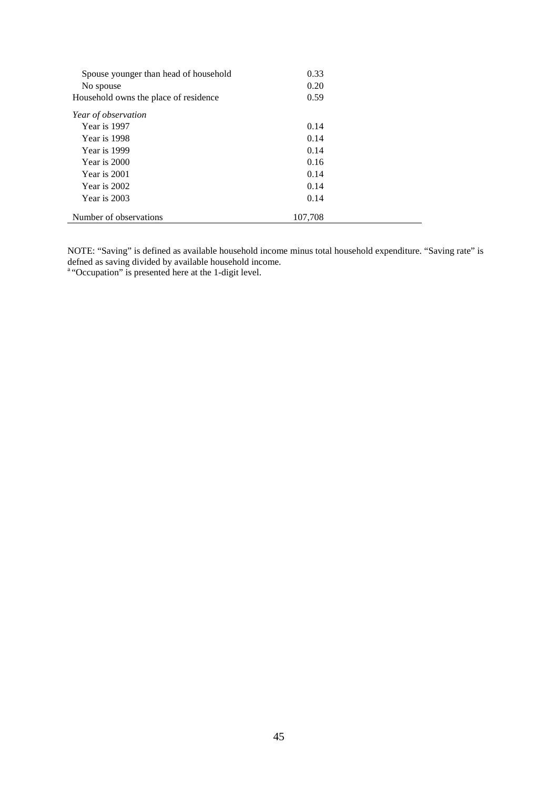| Spouse younger than head of household<br>No spouse | 0.33<br>0.20 |  |
|----------------------------------------------------|--------------|--|
| Household owns the place of residence              | 0.59         |  |
| Year of observation                                |              |  |
| Year is 1997                                       | 0.14         |  |
| Year is 1998                                       | 0.14         |  |
| Year is 1999                                       | 0.14         |  |
| Year is 2000                                       | 0.16         |  |
| Year is 2001                                       | 0.14         |  |
| Year is 2002                                       | 0.14         |  |
| Year is 2003                                       | 0.14         |  |
| Number of observations                             | 107,708      |  |

NOTE: "Saving" is defined as available household income minus total household expenditure. "Saving rate" is defned as saving divided by available household income.

<sup>a</sup> "Occupation" is presented here at the 1-digit level.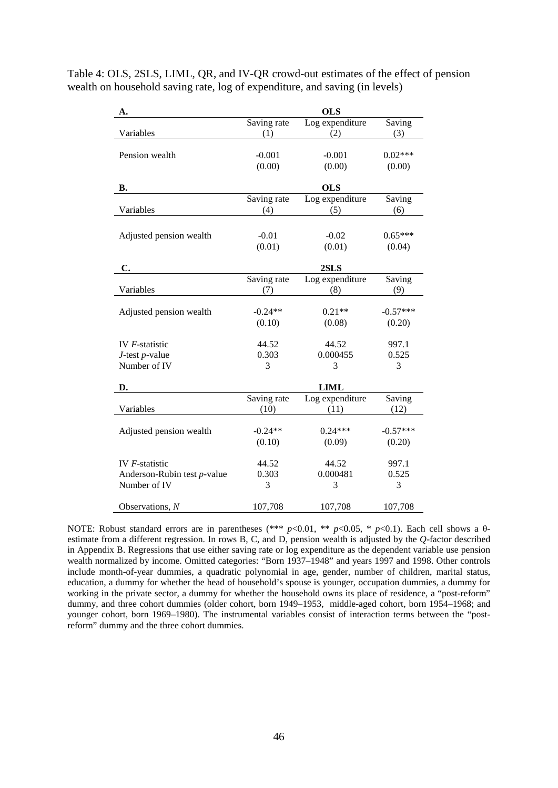| Table 4: OLS, 2SLS, LIML, QR, and IV-QR crowd-out estimates of the effect of pension |
|--------------------------------------------------------------------------------------|
| wealth on household saving rate, log of expenditure, and saving (in levels)          |

| A.                          |             | <b>OLS</b>      |            |
|-----------------------------|-------------|-----------------|------------|
|                             | Saving rate | Log expenditure | Saving     |
| Variables                   | (1)         | (2)             | (3)        |
|                             |             |                 |            |
| Pension wealth              | $-0.001$    | $-0.001$        | $0.02***$  |
|                             | (0.00)      | (0.00)          | (0.00)     |
| <b>B.</b>                   |             | <b>OLS</b>      |            |
|                             | Saving rate | Log expenditure | Saving     |
| Variables                   | (4)         | (5)             | (6)        |
|                             |             |                 |            |
| Adjusted pension wealth     | $-0.01$     | $-0.02$         | $0.65***$  |
|                             | (0.01)      | (0.01)          | (0.04)     |
|                             |             |                 |            |
| C.                          |             | 2SLS            |            |
|                             | Saving rate | Log expenditure | Saving     |
| Variables                   | (7)         | (8)             | (9)        |
|                             |             |                 |            |
| Adjusted pension wealth     | $-0.24**$   | $0.21**$        | $-0.57***$ |
|                             | (0.10)      | (0.08)          | (0.20)     |
|                             |             |                 |            |
| IV $F$ -statistic           | 44.52       | 44.52           | 997.1      |
| $J$ -test $p$ -value        | 0.303       | 0.000455        | 0.525      |
| Number of IV                | 3           | 3               | 3          |
| D.                          |             | <b>LIML</b>     |            |
|                             | Saving rate | Log expenditure | Saving     |
| Variables                   | (10)        | (11)            | (12)       |
|                             |             |                 |            |
| Adjusted pension wealth     | $-0.24**$   | $0.24***$       | $-0.57***$ |
|                             | (0.10)      | (0.09)          | (0.20)     |
| IV $F$ -statistic           | 44.52       | 44.52           | 997.1      |
| Anderson-Rubin test p-value | 0.303       | 0.000481        | 0.525      |
| Number of IV                | 3           | 3               | 3          |
|                             |             |                 |            |
| Observations, $N$           | 107,708     | 107,708         | 107,708    |
|                             |             |                 |            |

NOTE: Robust standard errors are in parentheses (\*\*\* *p*<0.01, \*\* *p*<0.05, \* *p*<0.1). Each cell shows a θestimate from a different regression. In rows B, C, and D, pension wealth is adjusted by the *Q*-factor described in Appendix B. Regressions that use either saving rate or log expenditure as the dependent variable use pension wealth normalized by income. Omitted categories: "Born 1937–1948" and years 1997 and 1998. Other controls include month-of-year dummies, a quadratic polynomial in age, gender, number of children, marital status, education, a dummy for whether the head of household's spouse is younger, occupation dummies, a dummy for working in the private sector, a dummy for whether the household owns its place of residence, a "post-reform" dummy, and three cohort dummies (older cohort, born 1949–1953, middle-aged cohort, born 1954–1968; and younger cohort, born 1969–1980). The instrumental variables consist of interaction terms between the "postreform" dummy and the three cohort dummies.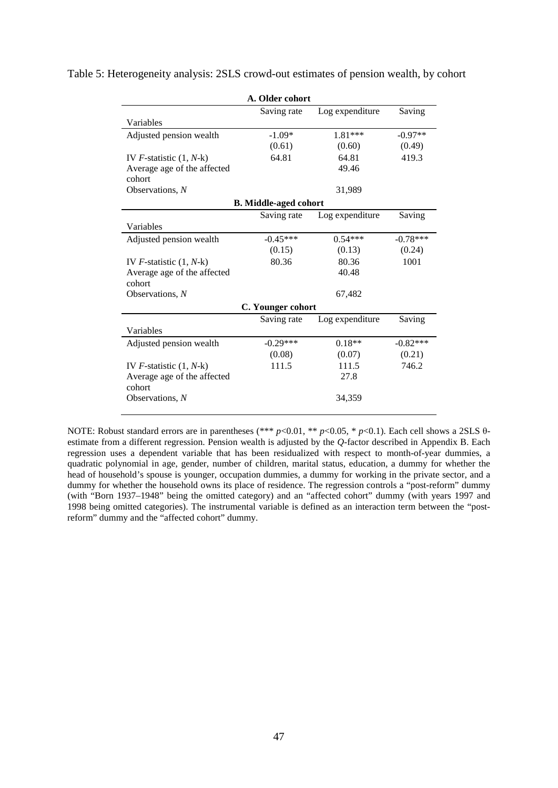| A. Older cohort              |                              |                 |            |  |
|------------------------------|------------------------------|-----------------|------------|--|
|                              | Saving rate                  | Log expenditure | Saving     |  |
| Variables                    |                              |                 |            |  |
| Adjusted pension wealth      | $-1.09*$                     | $1.81***$       | $-0.97**$  |  |
|                              | (0.61)                       | (0.60)          | (0.49)     |  |
| IV $F$ -statistic $(1, N-k)$ | 64.81                        | 64.81           | 419.3      |  |
| Average age of the affected  |                              | 49.46           |            |  |
| cohort                       |                              |                 |            |  |
| Observations, $N$            |                              | 31,989          |            |  |
|                              | <b>B.</b> Middle-aged cohort |                 |            |  |
|                              | Saving rate                  | Log expenditure | Saving     |  |
| Variables                    |                              |                 |            |  |
| Adjusted pension wealth      | $-0.45***$                   | $0.54***$       | $-0.78***$ |  |
|                              | (0.15)                       | (0.13)          | (0.24)     |  |
| IV $F$ -statistic $(1, N-k)$ | 80.36                        | 80.36           | 1001       |  |
| Average age of the affected  |                              | 40.48           |            |  |
| cohort                       |                              |                 |            |  |
| Observations, N              |                              | 67,482          |            |  |
|                              | C. Younger cohort            |                 |            |  |
|                              | Saving rate                  | Log expenditure | Saving     |  |
| Variables                    |                              |                 |            |  |
| Adjusted pension wealth      | $-0.29***$                   | $0.18**$        | $-0.82***$ |  |
|                              | (0.08)                       | (0.07)          | (0.21)     |  |
| IV $F$ -statistic $(1, N-k)$ | 111.5                        | 111.5           | 746.2      |  |
| Average age of the affected  |                              | 27.8            |            |  |
| cohort                       |                              |                 |            |  |
| Observations, $N$            |                              | 34,359          |            |  |
|                              |                              |                 |            |  |

Table 5: Heterogeneity analysis: 2SLS crowd-out estimates of pension wealth, by cohort

NOTE: Robust standard errors are in parentheses (\*\*\* *p*<0.01, \*\* *p*<0.05, \* *p*<0.1). Each cell shows a 2SLS θestimate from a different regression. Pension wealth is adjusted by the *Q*-factor described in Appendix B. Each regression uses a dependent variable that has been residualized with respect to month-of-year dummies, a quadratic polynomial in age, gender, number of children, marital status, education, a dummy for whether the head of household's spouse is younger, occupation dummies, a dummy for working in the private sector, and a dummy for whether the household owns its place of residence. The regression controls a "post-reform" dummy (with "Born 1937–1948" being the omitted category) and an "affected cohort" dummy (with years 1997 and 1998 being omitted categories). The instrumental variable is defined as an interaction term between the "postreform" dummy and the "affected cohort" dummy.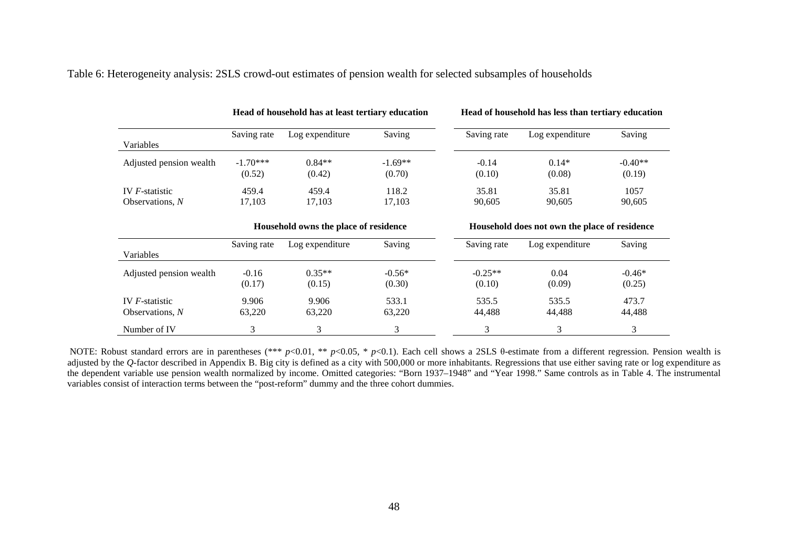| Table 6: Heterogeneity analysis: 2SLS crowd-out estimates of pension wealth for selected subsamples of households |  |  |
|-------------------------------------------------------------------------------------------------------------------|--|--|
|-------------------------------------------------------------------------------------------------------------------|--|--|

|                         |             | Head of household has at least tertiary education |           |             | Head of household has less than tertiary education |           |
|-------------------------|-------------|---------------------------------------------------|-----------|-------------|----------------------------------------------------|-----------|
|                         | Saving rate | Log expenditure                                   | Saving    | Saving rate | Log expenditure                                    | Saving    |
| Variables               |             |                                                   |           |             |                                                    |           |
| Adjusted pension wealth | $-1.70***$  | $0.84**$                                          | $-1.69**$ | $-0.14$     | $0.14*$                                            | $-0.40**$ |
|                         | (0.52)      | (0.42)                                            | (0.70)    | (0.10)      | (0.08)                                             | (0.19)    |
| IV $F$ -statistic       | 459.4       | 459.4                                             | 118.2     | 35.81       | 35.81                                              | 1057      |
| Observations, $N$       | 17,103      | 17,103                                            | 17,103    | 90,605      | 90,605                                             | 90,605    |
|                         |             | Household owns the place of residence             |           |             | Household does not own the place of residence      |           |
| Variables               | Saving rate | Log expenditure                                   | Saving    | Saving rate | Log expenditure                                    | Saving    |
| Adjusted pension wealth | $-0.16$     | $0.35**$                                          | $-0.56*$  | $-0.25**$   | 0.04                                               | $-0.46*$  |
|                         | (0.17)      | (0.15)                                            | (0.30)    | (0.10)      | (0.09)                                             | (0.25)    |
| IV $F$ -statistic       | 9.906       | 9.906                                             | 533.1     | 535.5       | 535.5                                              | 473.7     |
| Observations, N         | 63,220      | 63,220                                            | 63,220    | 44,488      | 44,488                                             | 44,488    |
| Number of IV            | 3           | 3                                                 | 3         | 3           | 3                                                  | 3         |

NOTE: Robust standard errors are in parentheses (\*\*\* *p*<0.01, \*\* *p*<0.05, \* *p*<0.1). Each cell shows a 2SLS θ-estimate from a different regression. Pension wealth is adjusted by the Q-factor described in Appendix B. Big city is defined as a city with 500,000 or more inhabitants. Regressions that use either saving rate or log expenditure as the dependent variable use pension wealth normalized by income. Omitted categories: "Born 1937–1948" and "Year 1998." Same controls as in Table 4. The instrumental variables consist of interaction terms between the "post-reform" dummy and the three cohort dummies.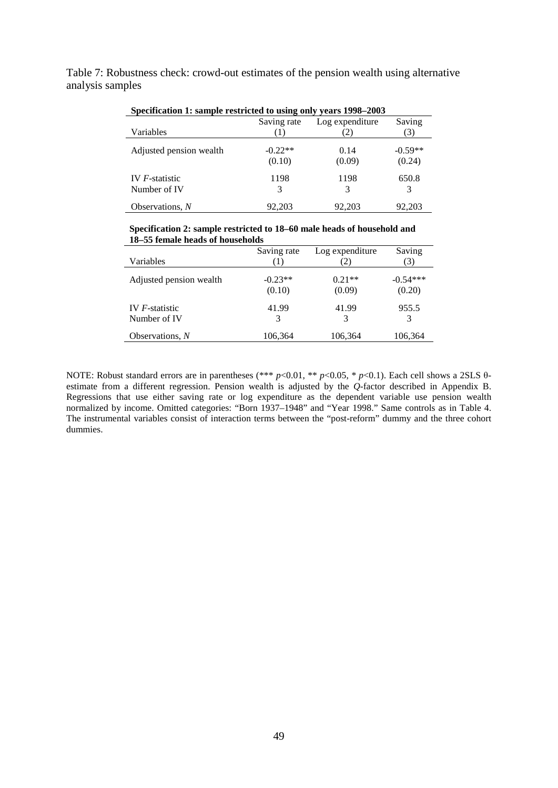Table 7: Robustness check: crowd-out estimates of the pension wealth using alternative analysis samples

|                         | Saving rate | Log expenditure | Saving    |
|-------------------------|-------------|-----------------|-----------|
| Variables               |             | 2)              | 3)        |
| Adjusted pension wealth | $-0.22**$   | 0.14            | $-0.59**$ |
|                         | (0.10)      | (0.09)          | (0.24)    |
| IV $F$ -statistic       | 1198        | 1198            | 650.8     |
| Number of IV            | 3           | 3               | 3         |
| Observations, N         | 92.203      | 92.203          | 92,203    |

**Specification 1: sample restricted to using only years 1998–2003**

**Specification 2: sample restricted to 18–60 male heads of household and 18–55 female heads of households**

|                                        | Saving rate         | Log expenditure    | Saving               |
|----------------------------------------|---------------------|--------------------|----------------------|
| Variables                              | (1)                 | (2)                | (3)                  |
| Adjusted pension wealth                | $-0.23**$<br>(0.10) | $0.21**$<br>(0.09) | $-0.54***$<br>(0.20) |
| IV <i>F</i> -statistic<br>Number of IV | 41.99<br>3          | 41.99              | 955.5<br>3           |
| Observations, N                        | 106,364             | 106,364            | 106,364              |

l,

NOTE: Robust standard errors are in parentheses (\*\*\* *p*<0.01, \*\* *p*<0.05, \* *p*<0.1). Each cell shows a 2SLS θestimate from a different regression. Pension wealth is adjusted by the *Q*-factor described in Appendix B. Regressions that use either saving rate or log expenditure as the dependent variable use pension wealth normalized by income. Omitted categories: "Born 1937–1948" and "Year 1998." Same controls as in Table 4. The instrumental variables consist of interaction terms between the "post-reform" dummy and the three cohort dummies.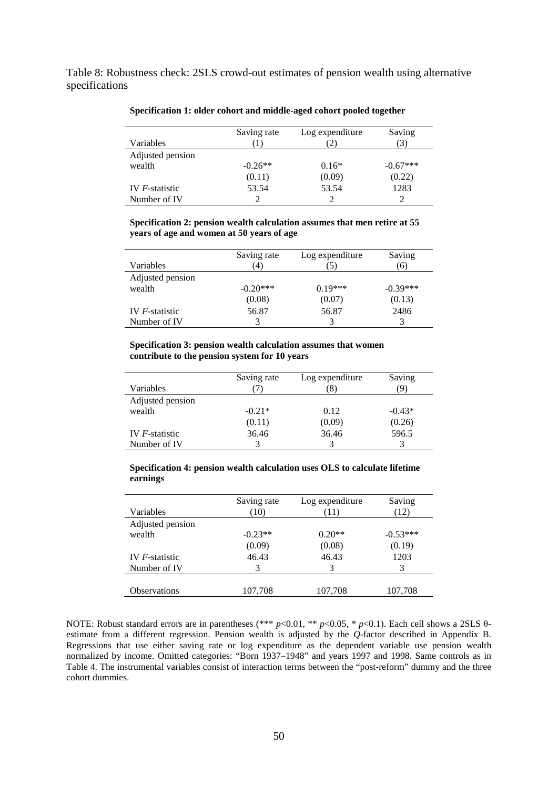Table 8: Robustness check: 2SLS crowd-out estimates of pension wealth using alternative specifications

| Variables         | Saving rate | Log expenditure<br>2 | Saving     |
|-------------------|-------------|----------------------|------------|
|                   |             |                      |            |
| Adjusted pension  |             |                      |            |
| wealth            | $-0.26**$   | $0.16*$              | $-0.67***$ |
|                   | (0.11)      | (0.09)               | (0.22)     |
| IV $F$ -statistic | 53.54       | 53.54                | 1283       |
| Number of IV      |             |                      |            |

**Specification 1: older cohort and middle-aged cohort pooled together**

**Specification 2: pension wealth calculation assumes that men retire at 55 years of age and women at 50 years of age**

|                   | Saving rate | Log expenditure | Saving     |
|-------------------|-------------|-----------------|------------|
| Variables         | 4)          | 5)              | (6)        |
| Adjusted pension  |             |                 |            |
| wealth            | $-0.20***$  | $0.19***$       | $-0.39***$ |
|                   | (0.08)      | (0.07)          | (0.13)     |
| IV $F$ -statistic | 56.87       | 56.87           | 2486       |
| Number of IV      |             | 3               |            |

#### **Specification 3: pension wealth calculation assumes that women contribute to the pension system for 10 years**

| Variables         | Saving rate | Log expenditure<br>8 | Saving<br>q |
|-------------------|-------------|----------------------|-------------|
| Adjusted pension  |             |                      |             |
| wealth            | $-0.21*$    | 0.12                 | $-0.43*$    |
|                   | (0.11)      | (0.09)               | (0.26)      |
| IV $F$ -statistic | 36.46       | 36.46                | 596.5       |
| Number of IV      |             |                      |             |

**Specification 4: pension wealth calculation uses OLS to calculate lifetime earnings**

|                   | Saving rate | Log expenditure | Saving     |
|-------------------|-------------|-----------------|------------|
| Variables         | (10)        | (11)            | (12)       |
| Adjusted pension  |             |                 |            |
| wealth            | $-0.23**$   | $0.20**$        | $-0.53***$ |
|                   | (0.09)      | (0.08)          | (0.19)     |
| IV $F$ -statistic | 46.43       | 46.43           | 1203       |
| Number of IV      | 3           | 3               | 3          |
|                   |             |                 |            |
| Observations      | 107,708     | 107,708         | 107,708    |

NOTE: Robust standard errors are in parentheses (\*\*\* *p*<0.01, \*\* *p*<0.05, \* *p*<0.1). Each cell shows a 2SLS θestimate from a different regression. Pension wealth is adjusted by the *Q*-factor described in Appendix B. Regressions that use either saving rate or log expenditure as the dependent variable use pension wealth normalized by income. Omitted categories: "Born 1937–1948" and years 1997 and 1998. Same controls as in Table 4. The instrumental variables consist of interaction terms between the "post-reform" dummy and the three cohort dummies.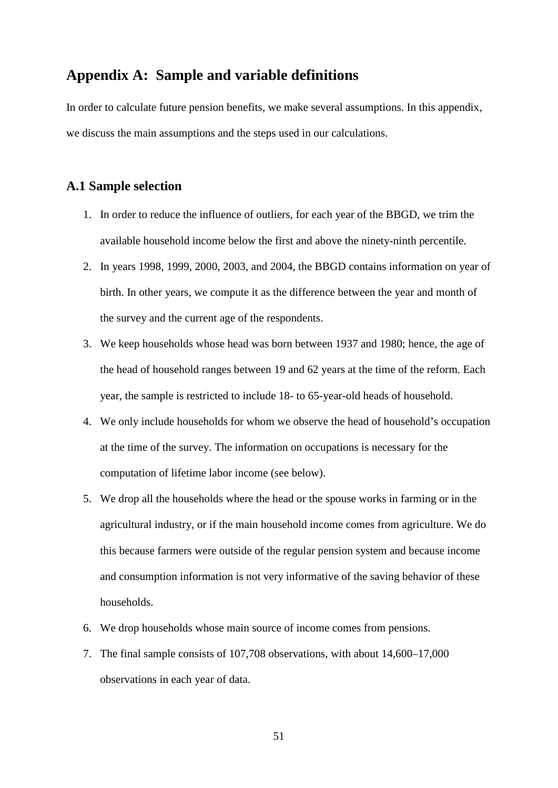# **Appendix A: Sample and variable definitions**

In order to calculate future pension benefits, we make several assumptions. In this appendix, we discuss the main assumptions and the steps used in our calculations.

#### **A.1 Sample selection**

- 1. In order to reduce the influence of outliers, for each year of the BBGD, we trim the available household income below the first and above the ninety-ninth percentile.
- 2. In years 1998, 1999, 2000, 2003, and 2004, the BBGD contains information on year of birth. In other years, we compute it as the difference between the year and month of the survey and the current age of the respondents.
- 3. We keep households whose head was born between 1937 and 1980; hence, the age of the head of household ranges between 19 and 62 years at the time of the reform. Each year, the sample is restricted to include 18- to 65-year-old heads of household.
- 4. We only include households for whom we observe the head of household's occupation at the time of the survey. The information on occupations is necessary for the computation of lifetime labor income (see below).
- 5. We drop all the households where the head or the spouse works in farming or in the agricultural industry, or if the main household income comes from agriculture. We do this because farmers were outside of the regular pension system and because income and consumption information is not very informative of the saving behavior of these households.
- 6. We drop households whose main source of income comes from pensions.
- 7. The final sample consists of 107,708 observations, with about 14,600–17,000 observations in each year of data.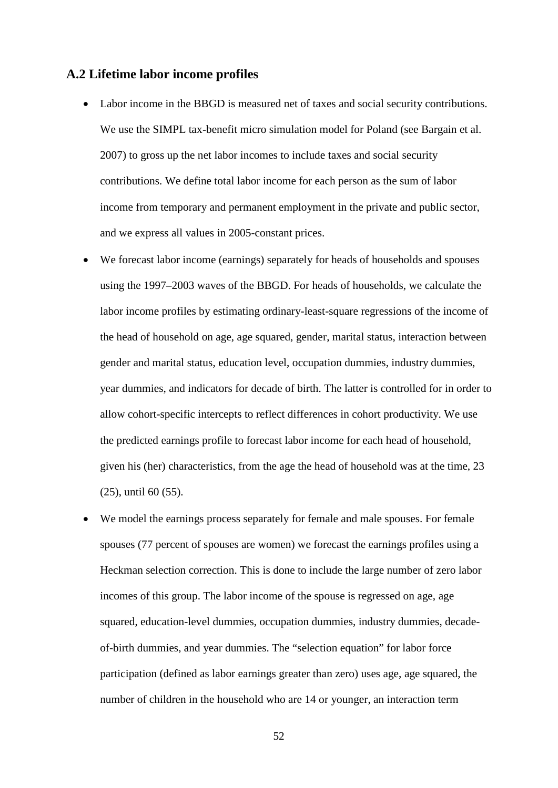#### **A.2 Lifetime labor income profiles**

- Labor income in the BBGD is measured net of taxes and social security contributions. We use the SIMPL tax-benefit micro simulation model for Poland (see Bargain et al. 2007) to gross up the net labor incomes to include taxes and social security contributions. We define total labor income for each person as the sum of labor income from temporary and permanent employment in the private and public sector, and we express all values in 2005-constant prices.
- We forecast labor income (earnings) separately for heads of households and spouses using the 1997–2003 waves of the BBGD. For heads of households, we calculate the labor income profiles by estimating ordinary-least-square regressions of the income of the head of household on age, age squared, gender, marital status, interaction between gender and marital status, education level, occupation dummies, industry dummies, year dummies, and indicators for decade of birth. The latter is controlled for in order to allow cohort-specific intercepts to reflect differences in cohort productivity. We use the predicted earnings profile to forecast labor income for each head of household, given his (her) characteristics, from the age the head of household was at the time, 23 (25), until 60 (55).
- We model the earnings process separately for female and male spouses. For female spouses (77 percent of spouses are women) we forecast the earnings profiles using a Heckman selection correction. This is done to include the large number of zero labor incomes of this group. The labor income of the spouse is regressed on age, age squared, education-level dummies, occupation dummies, industry dummies, decadeof-birth dummies, and year dummies. The "selection equation" for labor force participation (defined as labor earnings greater than zero) uses age, age squared, the number of children in the household who are 14 or younger, an interaction term

52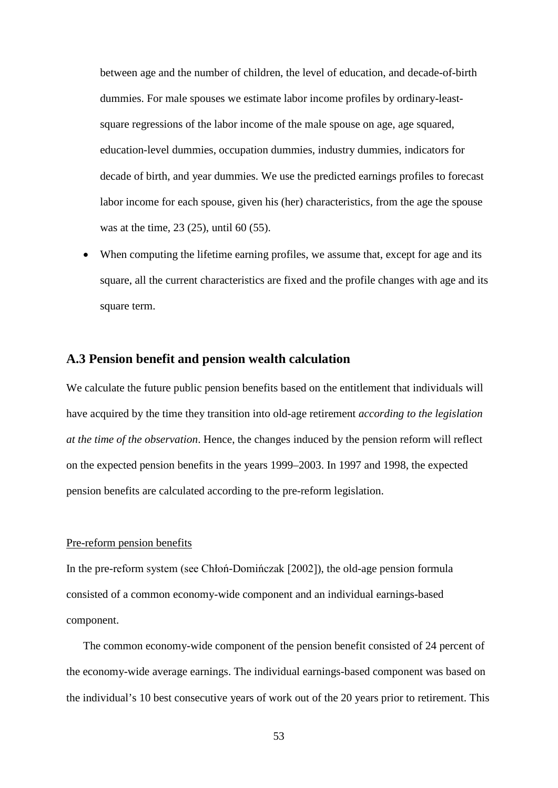between age and the number of children, the level of education, and decade-of-birth dummies. For male spouses we estimate labor income profiles by ordinary-leastsquare regressions of the labor income of the male spouse on age, age squared, education-level dummies, occupation dummies, industry dummies, indicators for decade of birth, and year dummies. We use the predicted earnings profiles to forecast labor income for each spouse, given his (her) characteristics, from the age the spouse was at the time, 23 (25), until 60 (55).

When computing the lifetime earning profiles, we assume that, except for age and its square, all the current characteristics are fixed and the profile changes with age and its square term.

#### **A.3 Pension benefit and pension wealth calculation**

We calculate the future public pension benefits based on the entitlement that individuals will have acquired by the time they transition into old-age retirement *according to the legislation at the time of the observation*. Hence, the changes induced by the pension reform will reflect on the expected pension benefits in the years 1999–2003. In 1997 and 1998, the expected pension benefits are calculated according to the pre-reform legislation.

#### Pre-reform pension benefits

In the pre-reform system (see Chłoń-Domińczak [2002]), the old-age pension formula consisted of a common economy-wide component and an individual earnings-based component.

The common economy-wide component of the pension benefit consisted of 24 percent of the economy-wide average earnings. The individual earnings-based component was based on the individual's 10 best consecutive years of work out of the 20 years prior to retirement. This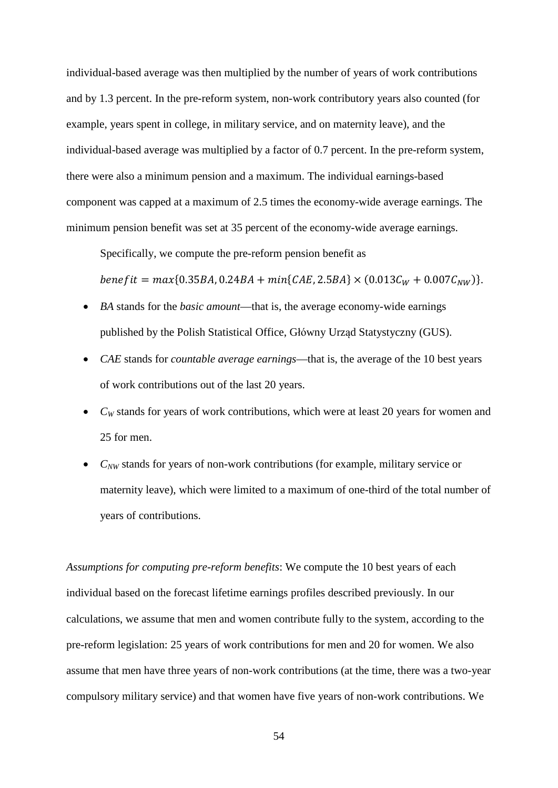individual-based average was then multiplied by the number of years of work contributions and by 1.3 percent. In the pre-reform system, non-work contributory years also counted (for example, years spent in college, in military service, and on maternity leave), and the individual-based average was multiplied by a factor of 0.7 percent. In the pre-reform system, there were also a minimum pension and a maximum. The individual earnings-based component was capped at a maximum of 2.5 times the economy-wide average earnings. The minimum pension benefit was set at 35 percent of the economy-wide average earnings.

Specifically, we compute the pre-reform pension benefit as

benef it =  ${max}$ {0.35BA, 0.24BA +  ${min}$ {CAE, 2.5BA}  $\times$  (0.013 $C_W$  + 0.007 $C_{NW}$ )}.

- *BA* stands for the *basic amount*—that is, the average economy-wide earnings published by the Polish Statistical Office, Główny Urząd Statystyczny (GUS).
- *CAE* stands for *countable average earnings*—that is, the average of the 10 best years of work contributions out of the last 20 years.
- *C<sub>W</sub>* stands for years of work contributions, which were at least 20 years for women and 25 for men.
- *CNW* stands for years of non-work contributions (for example, military service or maternity leave), which were limited to a maximum of one-third of the total number of years of contributions.

*Assumptions for computing pre-reform benefits*: We compute the 10 best years of each individual based on the forecast lifetime earnings profiles described previously. In our calculations, we assume that men and women contribute fully to the system, according to the pre-reform legislation: 25 years of work contributions for men and 20 for women. We also assume that men have three years of non-work contributions (at the time, there was a two-year compulsory military service) and that women have five years of non-work contributions. We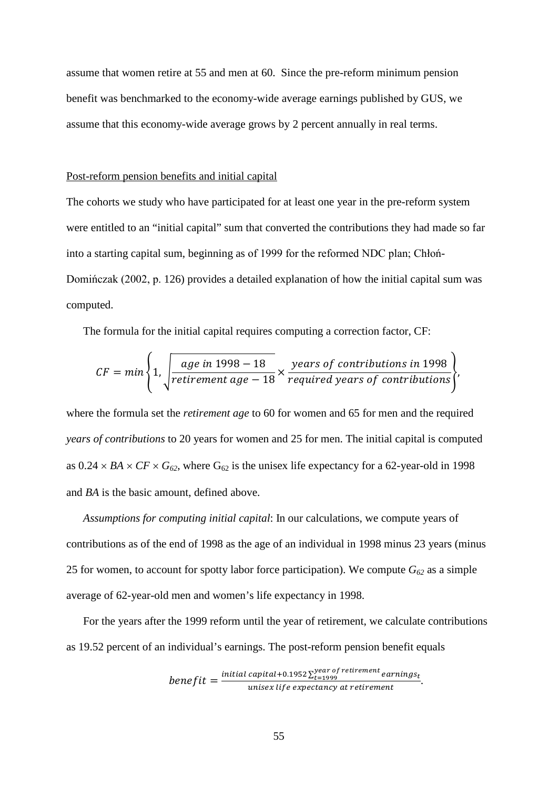assume that women retire at 55 and men at 60. Since the pre-reform minimum pension benefit was benchmarked to the economy-wide average earnings published by GUS, we assume that this economy-wide average grows by 2 percent annually in real terms.

#### Post-reform pension benefits and initial capital

The cohorts we study who have participated for at least one year in the pre-reform system were entitled to an "initial capital" sum that converted the contributions they had made so far into a starting capital sum, beginning as of 1999 for the reformed NDC plan; Chłoń-Domińczak (2002, p. 126) provides a detailed explanation of how the initial capital sum was computed.

The formula for the initial capital requires computing a correction factor, CF:

$$
CF = min \left\{ 1, \sqrt{\frac{age \ in \ 1998 - 18}{retirement \ age - 18}} \times \frac{\text{years of contributions in 1998}}{\text{required years of contributions}} \right\}
$$

where the formula set the *retirement age* to 60 for women and 65 for men and the required *years of contributions* to 20 years for women and 25 for men. The initial capital is computed as  $0.24 \times BA \times CF \times G_{62}$ , where  $G_{62}$  is the unisex life expectancy for a 62-year-old in 1998 and *BA* is the basic amount, defined above.

*Assumptions for computing initial capital*: In our calculations, we compute years of contributions as of the end of 1998 as the age of an individual in 1998 minus 23 years (minus 25 for women, to account for spotty labor force participation). We compute  $G_{62}$  as a simple average of 62-year-old men and women's life expectancy in 1998.

For the years after the 1999 reform until the year of retirement, we calculate contributions as 19.52 percent of an individual's earnings. The post-reform pension benefit equals

$$
benefit = \frac{initial\ capital + 0.1952 \sum_{t=1999}^{year\ of\ retirement\ earnings_t}{unisex\ life\ expectancy\ at\ retirement}.
$$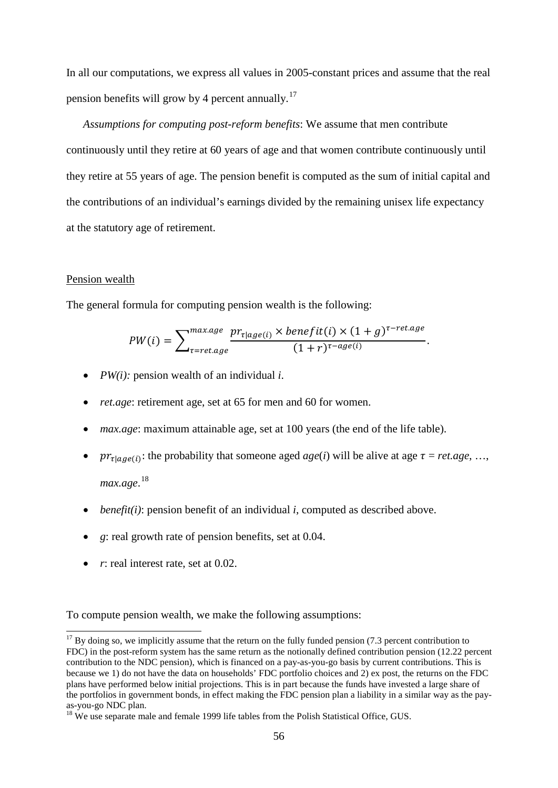In all our computations, we express all values in 2005-constant prices and assume that the real pension benefits will grow by 4 percent annually.<sup>[17](#page-32-0)</sup>

*Assumptions for computing post-reform benefits*: We assume that men contribute continuously until they retire at 60 years of age and that women contribute continuously until they retire at 55 years of age. The pension benefit is computed as the sum of initial capital and the contributions of an individual's earnings divided by the remaining unisex life expectancy at the statutory age of retirement.

#### Pension wealth

The general formula for computing pension wealth is the following:

$$
PW(i) = \sum_{\tau = ret. age}^{max. age} \frac{pr_{\tau | age(i)} \times benefit(i) \times (1 + g)^{\tau - ret. age}}{(1 + r)^{\tau - age(i)}}.
$$

- *PW(i):* pension wealth of an individual *i*.
- *ret.age:* retirement age, set at 65 for men and 60 for women.
- *max.age*: maximum attainable age, set at 100 years (the end of the life table).
- $pr_{\tau \mid \text{age}(i)}$ : the probability that someone aged *age*(*i*) will be alive at age  $\tau = \text{ret.age}, ...,$ *max.age*. [18](#page-58-0)
- *benefit(i)*: pension benefit of an individual *i*, computed as described above.
- *g*: real growth rate of pension benefits, set at 0.04.
- *r*: real interest rate, set at 0.02.

To compute pension wealth, we make the following assumptions:

 $17$  By doing so, we implicitly assume that the return on the fully funded pension (7.3 percent contribution to FDC) in the post-reform system has the same return as the notionally defined contribution pension (12.22 percent contribution to the NDC pension), which is financed on a pay-as-you-go basis by current contributions. This is because we 1) do not have the data on households' FDC portfolio choices and 2) ex post, the returns on the FDC plans have performed below initial projections. This is in part because the funds have invested a large share of the portfolios in government bonds, in effect making the FDC pension plan a liability in a similar way as the payas-you-go NDC plan.<br><sup>18</sup> We use separate male and female 1999 life tables from the Polish Statistical Office, GUS.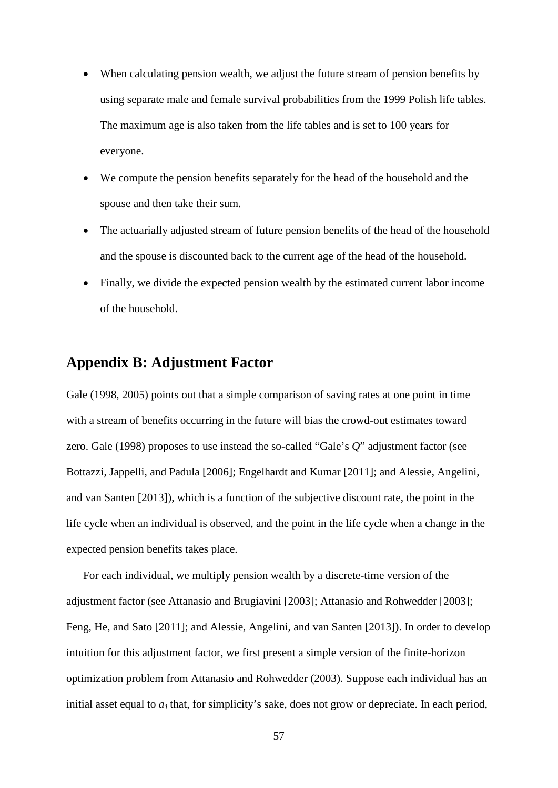- When calculating pension wealth, we adjust the future stream of pension benefits by using separate male and female survival probabilities from the 1999 Polish life tables. The maximum age is also taken from the life tables and is set to 100 years for everyone.
- We compute the pension benefits separately for the head of the household and the spouse and then take their sum.
- The actuarially adjusted stream of future pension benefits of the head of the household and the spouse is discounted back to the current age of the head of the household.
- Finally, we divide the expected pension wealth by the estimated current labor income of the household.

# **Appendix B: Adjustment Factor**

Gale (1998, 2005) points out that a simple comparison of saving rates at one point in time with a stream of benefits occurring in the future will bias the crowd-out estimates toward zero. Gale (1998) proposes to use instead the so-called "Gale's *Q*" adjustment factor (see Bottazzi, Jappelli, and Padula [2006]; Engelhardt and Kumar [2011]; and Alessie, Angelini, and van Santen [2013]), which is a function of the subjective discount rate, the point in the life cycle when an individual is observed, and the point in the life cycle when a change in the expected pension benefits takes place.

<span id="page-58-1"></span><span id="page-58-0"></span>For each individual, we multiply pension wealth by a discrete-time version of the adjustment factor (see Attanasio and Brugiavini [2003]; Attanasio and Rohwedder [2003]; Feng, He, and Sato [2011]; and Alessie, Angelini, and van Santen [2013]). In order to develop intuition for this adjustment factor, we first present a simple version of the finite-horizon optimization problem from Attanasio and Rohwedder (2003). Suppose each individual has an initial asset equal to  $a_1$  that, for simplicity's sake, does not grow or depreciate. In each period,

57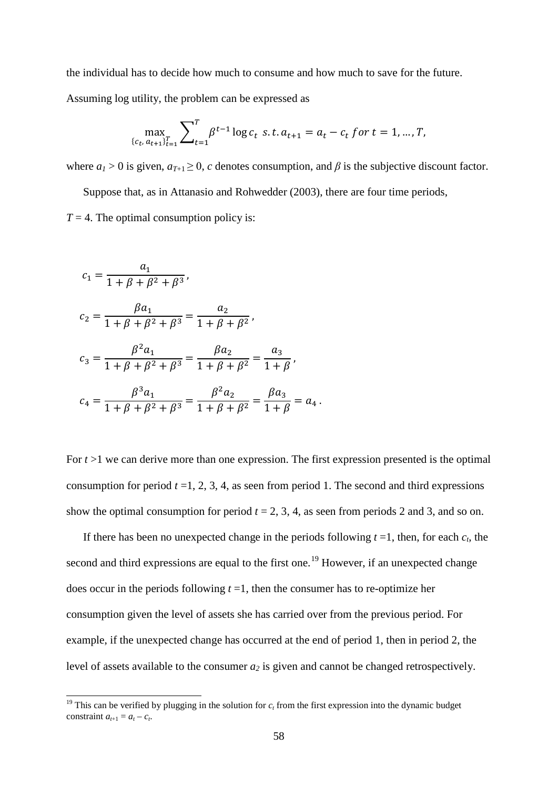the individual has to decide how much to consume and how much to save for the future.

Assuming log utility, the problem can be expressed as

$$
\max_{\{c_t, a_{t+1}\}_{t=1}^T} \sum_{t=1}^T \beta^{t-1} \log c_t \, \, s.t. \, a_{t+1} = a_t - c_t \, \text{for } t = 1, \dots, T,
$$

where  $a_1 > 0$  is given,  $a_{T+1} \ge 0$ , *c* denotes consumption, and  $\beta$  is the subjective discount factor.

Suppose that, as in Attanasio and Rohwedder (2003), there are four time periods,

 $T = 4$ . The optimal consumption policy is:

$$
c_1 = \frac{a_1}{1 + \beta + \beta^2 + \beta^3},
$$
  
\n
$$
c_2 = \frac{\beta a_1}{1 + \beta + \beta^2 + \beta^3} = \frac{a_2}{1 + \beta + \beta^2},
$$
  
\n
$$
c_3 = \frac{\beta^2 a_1}{1 + \beta + \beta^2 + \beta^3} = \frac{\beta a_2}{1 + \beta + \beta^2} = \frac{a_3}{1 + \beta},
$$
  
\n
$$
c_4 = \frac{\beta^3 a_1}{1 + \beta + \beta^2 + \beta^3} = \frac{\beta^2 a_2}{1 + \beta + \beta^2} = \frac{\beta a_3}{1 + \beta} = a_4.
$$

For  $t > 1$  we can derive more than one expression. The first expression presented is the optimal consumption for period  $t = 1, 2, 3, 4$ , as seen from period 1. The second and third expressions show the optimal consumption for period  $t = 2, 3, 4$ , as seen from periods 2 and 3, and so on.

If there has been no unexpected change in the periods following  $t = 1$ , then, for each  $c_t$ , the second and third expressions are equal to the first one.<sup>[19](#page-58-1)</sup> However, if an unexpected change does occur in the periods following  $t = 1$ , then the consumer has to re-optimize her consumption given the level of assets she has carried over from the previous period. For example, if the unexpected change has occurred at the end of period 1, then in period 2, the level of assets available to the consumer  $a_2$  is given and cannot be changed retrospectively.

<sup>&</sup>lt;sup>19</sup> This can be verified by plugging in the solution for  $c<sub>t</sub>$  from the first expression into the dynamic budget constraint  $a_{t+1} = a_t - c_t$ .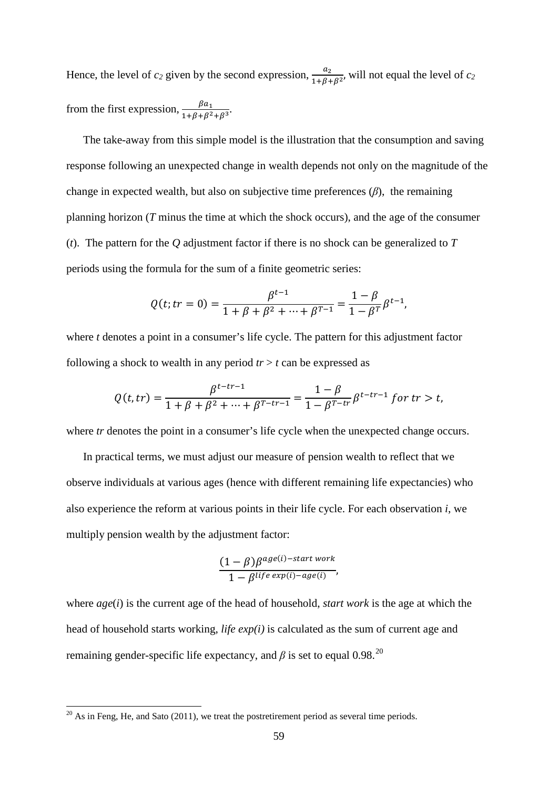Hence, the level of  $c_2$  given by the second expression,  $\frac{a_2}{1+\beta+\beta^2}$ , will not equal the level of  $c_2$ from the first expression,  $\frac{\beta a_1}{1+\beta+\beta^2+\beta^3}$ .

The take-away from this simple model is the illustration that the consumption and saving response following an unexpected change in wealth depends not only on the magnitude of the change in expected wealth, but also on subjective time preferences (*β*), the remaining planning horizon (*T* minus the time at which the shock occurs), and the age of the consumer (*t*). The pattern for the *Q* adjustment factor if there is no shock can be generalized to *T* periods using the formula for the sum of a finite geometric series:

$$
Q(t; tr = 0) = \frac{\beta^{t-1}}{1 + \beta + \beta^2 + \dots + \beta^{T-1}} = \frac{1 - \beta}{1 - \beta^T} \beta^{t-1},
$$

where *t* denotes a point in a consumer's life cycle. The pattern for this adjustment factor following a shock to wealth in any period  $tr > t$  can be expressed as

$$
Q(t, tr) = \frac{\beta^{t-tr-1}}{1 + \beta + \beta^2 + \dots + \beta^{T-tr-1}} = \frac{1 - \beta}{1 - \beta^{T-tr}} \beta^{t-tr-1} \text{ for } tr > t,
$$

where *tr* denotes the point in a consumer's life cycle when the unexpected change occurs.

In practical terms, we must adjust our measure of pension wealth to reflect that we observe individuals at various ages (hence with different remaining life expectancies) who also experience the reform at various points in their life cycle. For each observation *i*, we multiply pension wealth by the adjustment factor:

$$
\frac{(1-\beta)\beta^{age(i)-start\,work}}{1-\beta^{life\,exp(i)-age(i)}},
$$

where *age*(*i*) is the current age of the head of household, *start work* is the age at which the head of household starts working, *life exp(i)* is calculated as the sum of current age and remaining gender-specific life expectancy, and  $\beta$  is set to equal 0.98.<sup>[20](#page-60-0)</sup>

<span id="page-60-0"></span> $\overline{^{20}$  As in Feng, He, and Sato (2011), we treat the postretirement period as several time periods.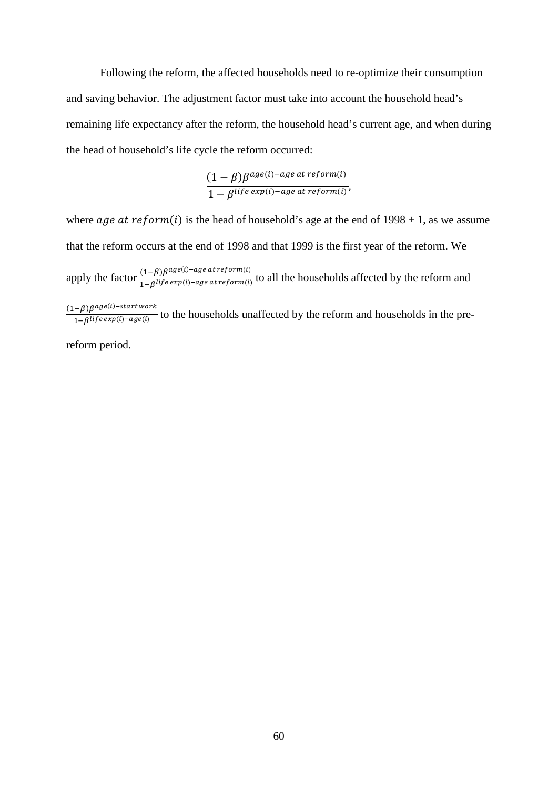Following the reform, the affected households need to re-optimize their consumption and saving behavior. The adjustment factor must take into account the household head's remaining life expectancy after the reform, the household head's current age, and when during the head of household's life cycle the reform occurred:

$$
\frac{(1-\beta)\beta^{age(i)-age \ at \ reform(i)}}{1-\beta^{life \ exp(i)-age \ at \ reform(i)}}
$$

where *age at reform(i)* is the head of household's age at the end of  $1998 + 1$ , as we assume that the reform occurs at the end of 1998 and that 1999 is the first year of the reform. We

apply the factor  $\frac{(1-\beta)\beta^{age(i)-age\,at\,reform(i)}}{1-\beta^{life\,exp(i)-age\,at\,reform(i)}}$  to all the households affected by the reform and

 $\frac{(1-\beta)\beta^{age(i)-start work}}{1-\beta^{life exp(i)-age(i)}}$  to the households unaffected by the reform and households in the pre-

reform period.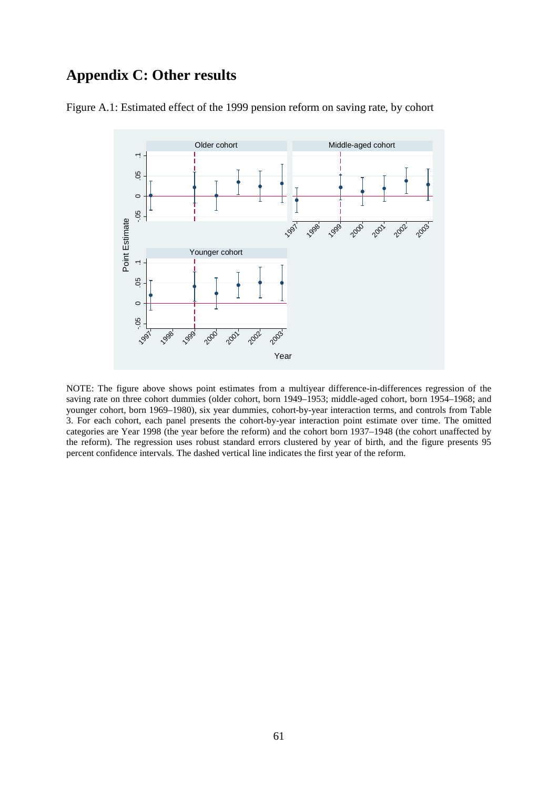# **Appendix C: Other results**



Figure A.1: Estimated effect of the 1999 pension reform on saving rate, by cohort

NOTE: The figure above shows point estimates from a multiyear difference-in-differences regression of the saving rate on three cohort dummies (older cohort, born 1949–1953; middle-aged cohort, born 1954–1968; and younger cohort, born 1969–1980), six year dummies, cohort-by-year interaction terms, and controls from Table 3. For each cohort, each panel presents the cohort-by-year interaction point estimate over time. The omitted categories are Year 1998 (the year before the reform) and the cohort born 1937–1948 (the cohort unaffected by the reform). The regression uses robust standard errors clustered by year of birth, and the figure presents 95